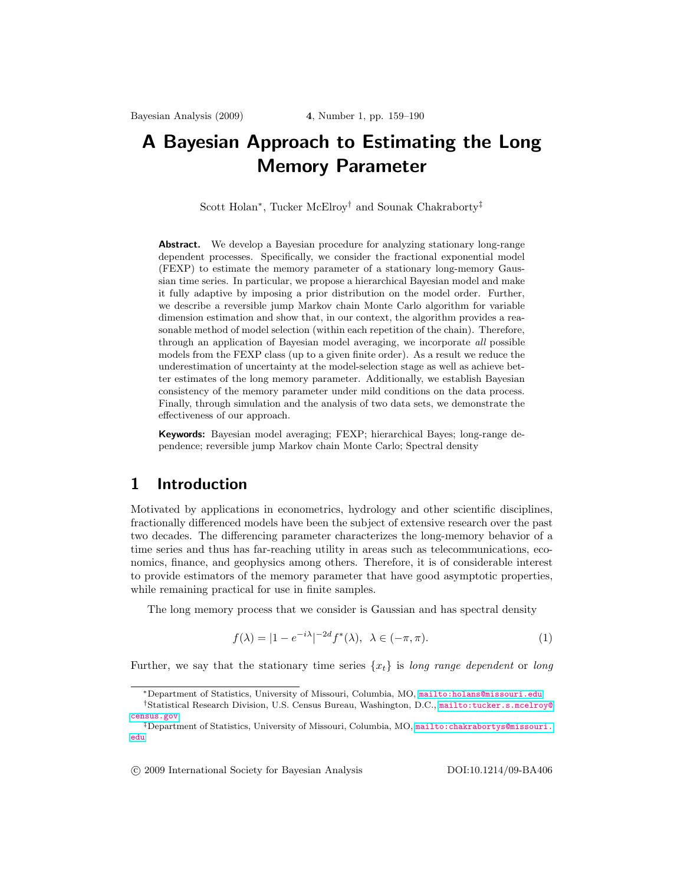# <span id="page-0-0"></span>A Bayesian Approach to Estimating the Long Memory Parameter

Scott Holan<sup>∗</sup> , Tucker McElroy† and Sounak Chakraborty‡

Abstract. We develop a Bayesian procedure for analyzing stationary long-range dependent processes. Specifically, we consider the fractional exponential model (FEXP) to estimate the memory parameter of a stationary long-memory Gaussian time series. In particular, we propose a hierarchical Bayesian model and make it fully adaptive by imposing a prior distribution on the model order. Further, we describe a reversible jump Markov chain Monte Carlo algorithm for variable dimension estimation and show that, in our context, the algorithm provides a reasonable method of model selection (within each repetition of the chain). Therefore, through an application of Bayesian model averaging, we incorporate all possible models from the FEXP class (up to a given finite order). As a result we reduce the underestimation of uncertainty at the model-selection stage as well as achieve better estimates of the long memory parameter. Additionally, we establish Bayesian consistency of the memory parameter under mild conditions on the data process. Finally, through simulation and the analysis of two data sets, we demonstrate the effectiveness of our approach.

Keywords: Bayesian model averaging; FEXP; hierarchical Bayes; long-range dependence; reversible jump Markov chain Monte Carlo; Spectral density

# 1 Introduction

Motivated by applications in econometrics, hydrology and other scientific disciplines, fractionally differenced models have been the subject of extensive research over the past two decades. The differencing parameter characterizes the long-memory behavior of a time series and thus has far-reaching utility in areas such as telecommunications, economics, finance, and geophysics among others. Therefore, it is of considerable interest to provide estimators of the memory parameter that have good asymptotic properties, while remaining practical for use in finite samples.

The long memory process that we consider is Gaussian and has spectral density

$$
f(\lambda) = |1 - e^{-i\lambda}|^{-2d} f^*(\lambda), \quad \lambda \in (-\pi, \pi). \tag{1}
$$

Further, we say that the stationary time series  $\{x_t\}$  is long range dependent or long

°c 2009 International Society for Bayesian Analysis DOI:10.1214/09-BA406

<sup>∗</sup>Department of Statistics, University of Missouri, Columbia, MO, <mailto:holans@missouri.edu>

<sup>†</sup>Statistical Research Division, U.S. Census Bureau, Washington, D.C., [mailto:tucker.s.mcelroy@](mailto:tucker.s.mcelroy@census.gov) [census.gov](mailto:tucker.s.mcelroy@census.gov)

<sup>‡</sup>Department of Statistics, University of Missouri, Columbia, MO, [mailto:chakrabortys@missouri.](mailto:chakrabortys@missouri.edu) [edu](mailto:chakrabortys@missouri.edu)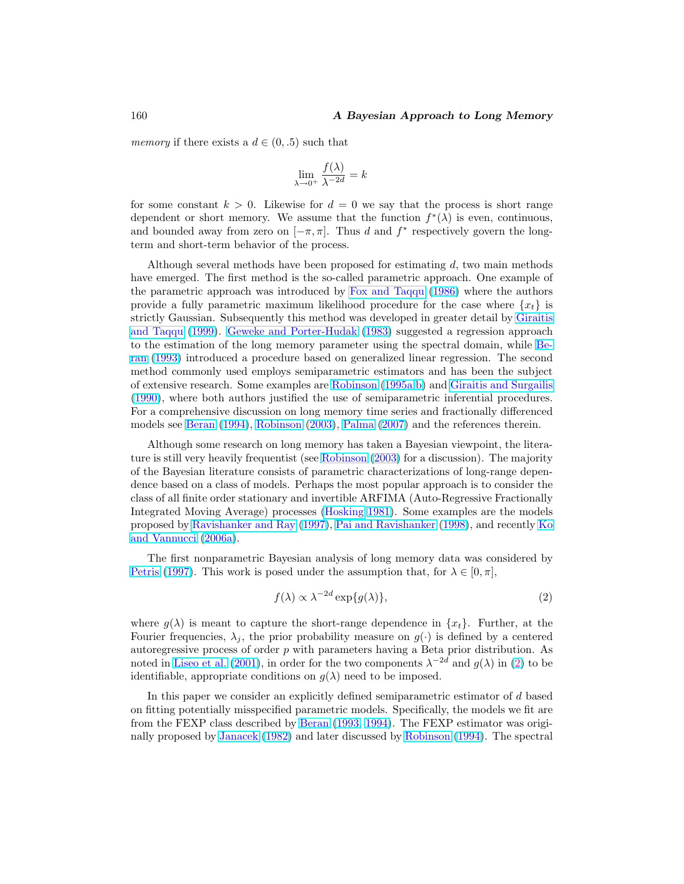<span id="page-1-0"></span>memory if there exists a  $d \in (0, .5)$  such that

$$
\lim_{\lambda \to 0^+} \frac{f(\lambda)}{\lambda^{-2d}} = k
$$

for some constant  $k > 0$ . Likewise for  $d = 0$  we say that the process is short range dependent or short memory. We assume that the function  $f^*(\lambda)$  is even, continuous, and bounded away from zero on  $[-\pi, \pi]$ . Thus d and  $f^*$  respectively govern the longterm and short-term behavior of the process.

Although several methods have been proposed for estimating  $d$ , two main methods have emerged. The first method is the so-called parametric approach. One example of the parametric approach was introduced by [Fox and Taqqu](#page-25-0) [\(1986\)](#page-25-0) where the authors provide a fully parametric maximum likelihood procedure for the case where  $\{x_t\}$  is strictly Gaussian. Subsequently this method was developed in greater detail by [Giraitis](#page-25-0) [and Taqqu](#page-25-0) [\(1999\)](#page-25-0). [Geweke and Porter-Hudak](#page-25-0) [\(1983\)](#page-25-0) suggested a regression approach to the estimation of the long memory parameter using the spectral domain, while [Be](#page-24-0)[ran](#page-24-0) [\(1993\)](#page-24-0) introduced a procedure based on generalized linear regression. The second method commonly used employs semiparametric estimators and has been the subject of extensive research. Some examples are [Robinson](#page-27-0) [\(1995a,b\)](#page-27-0) and [Giraitis and Surgailis](#page-25-0) [\(1990\)](#page-25-0), where both authors justified the use of semiparametric inferential procedures. For a comprehensive discussion on long memory time series and fractionally differenced models see [Beran](#page-24-0) [\(1994\)](#page-24-0), [Robinson](#page-27-0) [\(2003\)](#page-27-0), [Palma](#page-26-0) [\(2007\)](#page-26-0) and the references therein.

Although some research on long memory has taken a Bayesian viewpoint, the literature is still very heavily frequentist (see [Robinson](#page-27-0) [\(2003\)](#page-27-0) for a discussion). The majority of the Bayesian literature consists of parametric characterizations of long-range dependence based on a class of models. Perhaps the most popular approach is to consider the class of all finite order stationary and invertible ARFIMA (Auto-Regressive Fractionally Integrated Moving Average) processes [\(Hosking](#page-25-0) [1981\)](#page-25-0). Some examples are the models proposed by [Ravishanker and Ray](#page-26-0) [\(1997\)](#page-26-0), [Pai and Ravishanker](#page-26-0) [\(1998\)](#page-26-0), and recently [Ko](#page-26-0) [and Vannucci](#page-26-0) [\(2006a\)](#page-26-0).

The first nonparametric Bayesian analysis of long memory data was considered by [Petris](#page-26-0) [\(1997\)](#page-26-0). This work is posed under the assumption that, for  $\lambda \in [0, \pi]$ ,

$$
f(\lambda) \propto \lambda^{-2d} \exp\{g(\lambda)\},\tag{2}
$$

where  $g(\lambda)$  is meant to capture the short-range dependence in  $\{x_t\}$ . Further, at the Fourier frequencies,  $\lambda_j$ , the prior probability measure on  $g(\cdot)$  is defined by a centered autoregressive process of order  $p$  with parameters having a Beta prior distribution. As noted in [Liseo et al.](#page-26-0) [\(2001\)](#page-26-0), in order for the two components  $\lambda^{-2d}$  and  $g(\lambda)$  in (2) to be identifiable, appropriate conditions on  $g(\lambda)$  need to be imposed.

In this paper we consider an explicitly defined semiparametric estimator of d based on fitting potentially misspecified parametric models. Specifically, the models we fit are from the FEXP class described by [Beran](#page-24-0) [\(1993,](#page-24-0) [1994\)](#page-24-0). The FEXP estimator was originally proposed by [Janacek](#page-26-0) [\(1982\)](#page-26-0) and later discussed by [Robinson](#page-27-0) [\(1994\)](#page-27-0). The spectral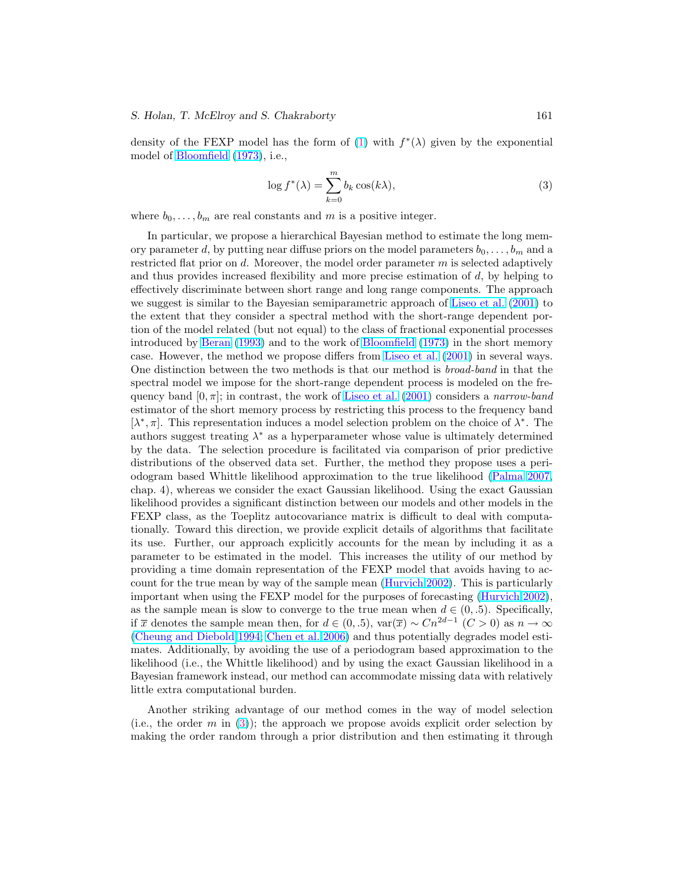#### <span id="page-2-0"></span>S. Holan, T. McElroy and S. Chakraborty 161

density of the FEXP model has the form of [\(1\)](#page-0-0) with  $f^*(\lambda)$  given by the exponential model of [Bloomfield](#page-24-0) [\(1973\)](#page-24-0), i.e.,

$$
\log f^*(\lambda) = \sum_{k=0}^m b_k \cos(k\lambda),\tag{3}
$$

where  $b_0, \ldots, b_m$  are real constants and m is a positive integer.

In particular, we propose a hierarchical Bayesian method to estimate the long memory parameter d, by putting near diffuse priors on the model parameters  $b_0, \ldots, b_m$  and a restricted flat prior on  $d$ . Moreover, the model order parameter  $m$  is selected adaptively and thus provides increased flexibility and more precise estimation of  $d$ , by helping to effectively discriminate between short range and long range components. The approach we suggest is similar to the Bayesian semiparametric approach of [Liseo et al.](#page-26-0) [\(2001\)](#page-26-0) to the extent that they consider a spectral method with the short-range dependent portion of the model related (but not equal) to the class of fractional exponential processes introduced by [Beran](#page-24-0) [\(1993\)](#page-24-0) and to the work of [Bloomfield](#page-24-0) [\(1973\)](#page-24-0) in the short memory case. However, the method we propose differs from [Liseo et al.](#page-26-0) [\(2001\)](#page-26-0) in several ways. One distinction between the two methods is that our method is broad-band in that the spectral model we impose for the short-range dependent process is modeled on the frequency band  $[0, \pi]$ ; in contrast, the work of [Liseo et al.](#page-26-0) [\(2001\)](#page-26-0) considers a narrow-band estimator of the short memory process by restricting this process to the frequency band  $[λ<sup>*</sup>, π]$ . This representation induces a model selection problem on the choice of  $λ<sup>*</sup>$ . The authors suggest treating  $\lambda^*$  as a hyperparameter whose value is ultimately determined by the data. The selection procedure is facilitated via comparison of prior predictive distributions of the observed data set. Further, the method they propose uses a periodogram based Whittle likelihood approximation to the true likelihood [\(Palma](#page-26-0) [2007,](#page-26-0) chap. 4), whereas we consider the exact Gaussian likelihood. Using the exact Gaussian likelihood provides a significant distinction between our models and other models in the FEXP class, as the Toeplitz autocovariance matrix is difficult to deal with computationally. Toward this direction, we provide explicit details of algorithms that facilitate its use. Further, our approach explicitly accounts for the mean by including it as a parameter to be estimated in the model. This increases the utility of our method by providing a time domain representation of the FEXP model that avoids having to account for the true mean by way of the sample mean [\(Hurvich](#page-25-0) [2002\)](#page-25-0). This is particularly important when using the FEXP model for the purposes of forecasting [\(Hurvich](#page-25-0) [2002\)](#page-25-0), as the sample mean is slow to converge to the true mean when  $d \in (0, .5)$ . Specifically, if  $\overline{x}$  denotes the sample mean then, for  $d \in (0, .5)$ ,  $var(\overline{x}) \sim Cn^{2d-1}$  (C > 0) as  $n \to \infty$ [\(Cheung and Diebold](#page-24-0) [1994;](#page-24-0) [Chen et al.](#page-24-0) [2006\)](#page-24-0) and thus potentially degrades model estimates. Additionally, by avoiding the use of a periodogram based approximation to the likelihood (i.e., the Whittle likelihood) and by using the exact Gaussian likelihood in a Bayesian framework instead, our method can accommodate missing data with relatively little extra computational burden.

Another striking advantage of our method comes in the way of model selection (i.e., the order m in (3)); the approach we propose avoids explicit order selection by making the order random through a prior distribution and then estimating it through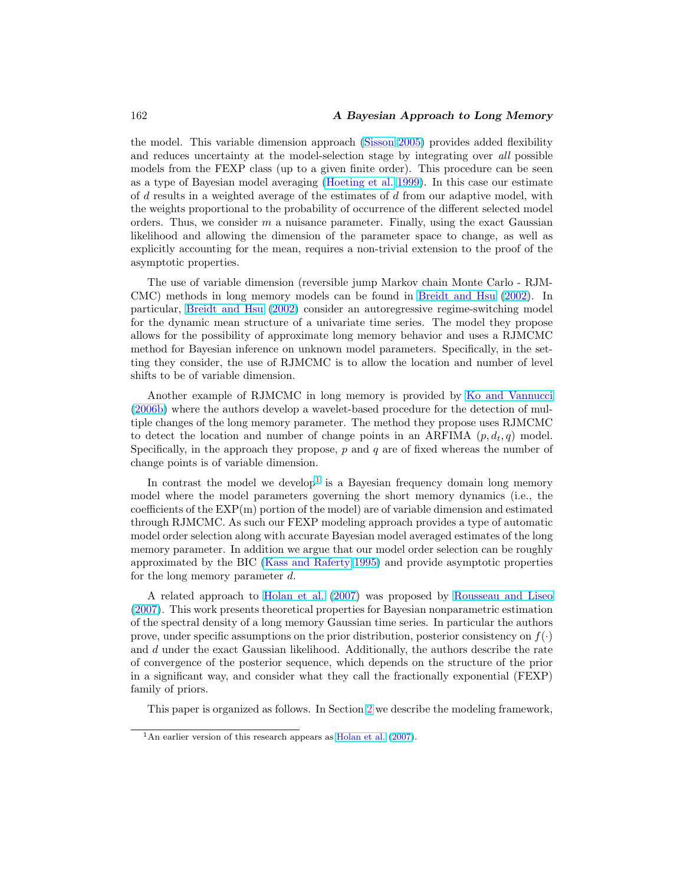#### <span id="page-3-0"></span>162 A Bayesian Approach to Long Memory

the model. This variable dimension approach [\(Sisson](#page-27-0) [2005\)](#page-27-0) provides added flexibility and reduces uncertainty at the model-selection stage by integrating over all possible models from the FEXP class (up to a given finite order). This procedure can be seen as a type of Bayesian model averaging [\(Hoeting et al.](#page-25-0) [1999\)](#page-25-0). In this case our estimate of  $d$  results in a weighted average of the estimates of  $d$  from our adaptive model, with the weights proportional to the probability of occurrence of the different selected model orders. Thus, we consider  $m$  a nuisance parameter. Finally, using the exact Gaussian likelihood and allowing the dimension of the parameter space to change, as well as explicitly accounting for the mean, requires a non-trivial extension to the proof of the asymptotic properties.

The use of variable dimension (reversible jump Markov chain Monte Carlo - RJM-CMC) methods in long memory models can be found in [Breidt and Hsu](#page-24-0) [\(2002\)](#page-24-0). In particular, [Breidt and Hsu](#page-24-0) [\(2002\)](#page-24-0) consider an autoregressive regime-switching model for the dynamic mean structure of a univariate time series. The model they propose allows for the possibility of approximate long memory behavior and uses a RJMCMC method for Bayesian inference on unknown model parameters. Specifically, in the setting they consider, the use of RJMCMC is to allow the location and number of level shifts to be of variable dimension.

Another example of RJMCMC in long memory is provided by [Ko and Vannucci](#page-26-0) [\(2006b\)](#page-26-0) where the authors develop a wavelet-based procedure for the detection of multiple changes of the long memory parameter. The method they propose uses RJMCMC to detect the location and number of change points in an ARFIMA  $(p, d_t, q)$  model. Specifically, in the approach they propose,  $p$  and  $q$  are of fixed whereas the number of change points is of variable dimension.

In contrast the model we develop<sup>1</sup> is a Bayesian frequency domain long memory model where the model parameters governing the short memory dynamics (i.e., the coefficients of the  $EXP(m)$  portion of the model) are of variable dimension and estimated through RJMCMC. As such our FEXP modeling approach provides a type of automatic model order selection along with accurate Bayesian model averaged estimates of the long memory parameter. In addition we argue that our model order selection can be roughly approximated by the BIC [\(Kass and Raferty](#page-26-0) [1995\)](#page-26-0) and provide asymptotic properties for the long memory parameter d.

A related approach to [Holan et al.](#page-25-0) [\(2007\)](#page-25-0) was proposed by [Rousseau and Liseo](#page-27-0) [\(2007\)](#page-27-0). This work presents theoretical properties for Bayesian nonparametric estimation of the spectral density of a long memory Gaussian time series. In particular the authors prove, under specific assumptions on the prior distribution, posterior consistency on  $f(.)$ and d under the exact Gaussian likelihood. Additionally, the authors describe the rate of convergence of the posterior sequence, which depends on the structure of the prior in a significant way, and consider what they call the fractionally exponential (FEXP) family of priors.

This paper is organized as follows. In Section [2](#page-4-0) we describe the modeling framework,

<sup>&</sup>lt;sup>1</sup>An earlier version of this research appears as [Holan et al.](#page-25-0)  $(2007)$ .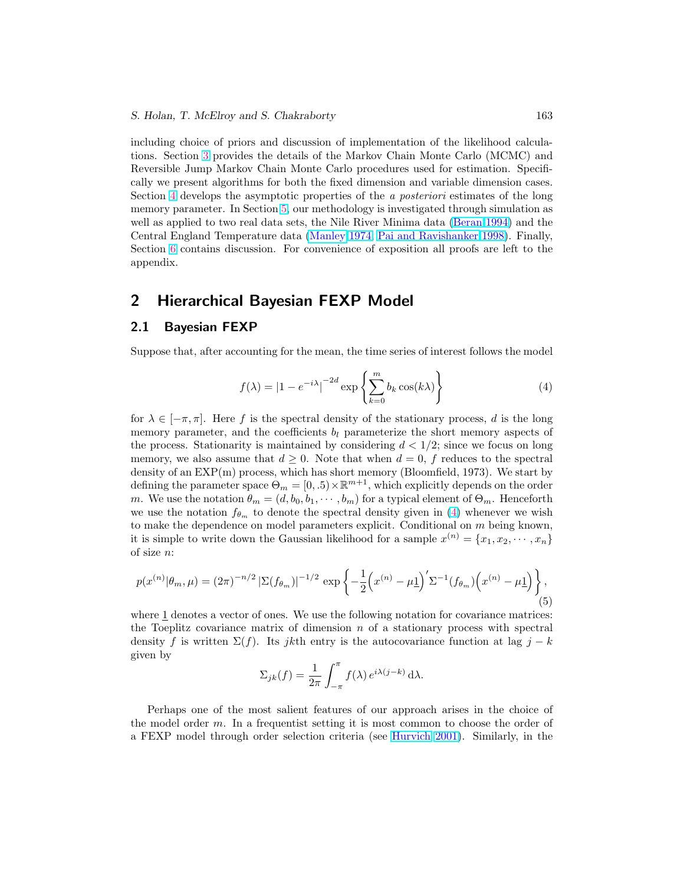<span id="page-4-0"></span>including choice of priors and discussion of implementation of the likelihood calculations. Section [3](#page-8-0) provides the details of the Markov Chain Monte Carlo (MCMC) and Reversible Jump Markov Chain Monte Carlo procedures used for estimation. Specifically we present algorithms for both the fixed dimension and variable dimension cases. Section [4](#page-13-0) develops the asymptotic properties of the a posteriori estimates of the long memory parameter. In Section [5,](#page-14-0) our methodology is investigated through simulation as well as applied to two real data sets, the Nile River Minima data [\(Beran](#page-24-0) [1994\)](#page-24-0) and the Central England Temperature data [\(Manley](#page-26-0) [1974;](#page-26-0) [Pai and Ravishanker](#page-26-0) [1998\)](#page-26-0). Finally, Section [6](#page-22-0) contains discussion. For convenience of exposition all proofs are left to the appendix.

# 2 Hierarchical Bayesian FEXP Model

## 2.1 Bayesian FEXP

Suppose that, after accounting for the mean, the time series of interest follows the model

$$
f(\lambda) = |1 - e^{-i\lambda}|^{-2d} \exp\left\{\sum_{k=0}^{m} b_k \cos(k\lambda)\right\}
$$
 (4)

for  $\lambda \in [-\pi, \pi]$ . Here f is the spectral density of the stationary process, d is the long memory parameter, and the coefficients  $b_l$  parameterize the short memory aspects of the process. Stationarity is maintained by considering  $d < 1/2$ ; since we focus on long memory, we also assume that  $d \geq 0$ . Note that when  $d = 0$ , f reduces to the spectral density of an EXP(m) process, which has short memory (Bloomfield, 1973). We start by defining the parameter space  $\Theta_m = [0, .5) \times \mathbb{R}^{m+1}$ , which explicitly depends on the order m. We use the notation  $\theta_m = (d, b_0, b_1, \dots, b_m)$  for a typical element of  $\Theta_m$ . Henceforth we use the notation  $f_{\theta_m}$  to denote the spectral density given in (4) whenever we wish to make the dependence on model parameters explicit. Conditional on  $m$  being known, it is simple to write down the Gaussian likelihood for a sample  $x^{(n)} = \{x_1, x_2, \dots, x_n\}$ of size n:

$$
p(x^{(n)}|\theta_m,\mu) = (2\pi)^{-n/2} \left| \Sigma(f_{\theta_m}) \right|^{-1/2} \exp\left\{-\frac{1}{2}\left(x^{(n)} - \mu \underline{1}\right)' \Sigma^{-1}(f_{\theta_m})\left(x^{(n)} - \mu \underline{1}\right) \right\},\tag{5}
$$

where 1 denotes a vector of ones. We use the following notation for covariance matrices: the Toeplitz covariance matrix of dimension  $n$  of a stationary process with spectral density f is written  $\Sigma(f)$ . Its jkth entry is the autocovariance function at lag j – k given by  $\mathbf{r}$ 

$$
\Sigma_{jk}(f) = \frac{1}{2\pi} \int_{-\pi}^{\pi} f(\lambda) e^{i\lambda(j-k)} d\lambda.
$$

Perhaps one of the most salient features of our approach arises in the choice of the model order m. In a frequentist setting it is most common to choose the order of a FEXP model through order selection criteria (see [Hurvich](#page-25-0) [2001\)](#page-25-0). Similarly, in the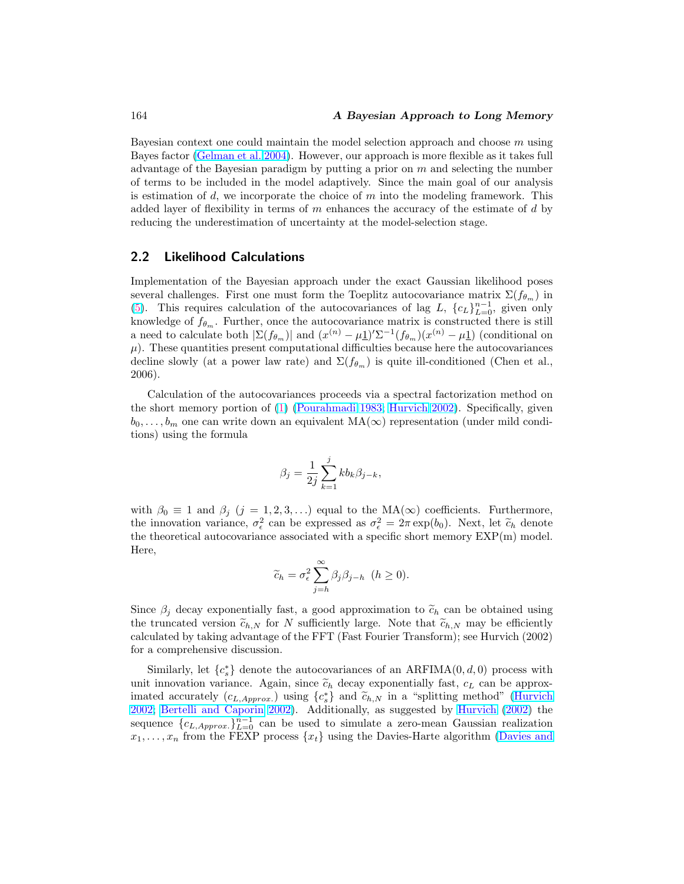<span id="page-5-0"></span>Bayesian context one could maintain the model selection approach and choose m using Bayes factor [\(Gelman et al.](#page-25-0) [2004\)](#page-25-0). However, our approach is more flexible as it takes full advantage of the Bayesian paradigm by putting a prior on  $m$  and selecting the number of terms to be included in the model adaptively. Since the main goal of our analysis is estimation of  $d$ , we incorporate the choice of  $m$  into the modeling framework. This added layer of flexibility in terms of  $m$  enhances the accuracy of the estimate of  $d$  by reducing the underestimation of uncertainty at the model-selection stage.

# 2.2 Likelihood Calculations

Implementation of the Bayesian approach under the exact Gaussian likelihood poses several challenges. First one must form the Toeplitz autocovariance matrix  $\Sigma(f_{\theta_m})$  in [\(5\)](#page-4-0). This requires calculation of the autocovariances of lag L,  ${c<sub>L</sub>}_{L=0}^{n-1}$ , given only knowledge of  $f_{\theta_m}$ . Further, once the autocovariance matrix is constructed there is still a need to calculate both  $|\Sigma(f_{\theta_m})|$  and  $(x^{(n)} - \mu \underline{1})' \Sigma^{-1}(f_{\theta_m})(x^{(n)} - \mu \underline{1})$  (conditional on  $\mu$ ). These quantities present computational difficulties because here the autocovariances decline slowly (at a power law rate) and  $\Sigma(f_{\theta_m})$  is quite ill-conditioned (Chen et al., 2006).

Calculation of the autocovariances proceeds via a spectral factorization method on the short memory portion of [\(1\)](#page-0-0) [\(Pourahmadi](#page-26-0) [1983;](#page-26-0) [Hurvich](#page-25-0) [2002\)](#page-25-0). Specifically, given  $b_0, \ldots, b_m$  one can write down an equivalent MA( $\infty$ ) representation (under mild conditions) using the formula

$$
\beta_j = \frac{1}{2j} \sum_{k=1}^j k b_k \beta_{j-k},
$$

with  $\beta_0 \equiv 1$  and  $\beta_j$   $(j = 1, 2, 3, ...)$  equal to the MA( $\infty$ ) coefficients. Furthermore, the innovation variance,  $\sigma_{\epsilon}^2$  can be expressed as  $\sigma_{\epsilon}^2 = 2\pi \exp(b_0)$ . Next, let  $\tilde{c}_h$  denote the theoretical autocovariance associated with a specific short memory  $EXP(m)$  model. Here,

$$
\widetilde{c}_h = \sigma_\epsilon^2 \sum_{j=h}^{\infty} \beta_j \beta_{j-h} \quad (h \ge 0).
$$

Since  $\beta_j$  decay exponentially fast, a good approximation to  $\tilde{c}_h$  can be obtained using the truncated version  $\tilde{c}_{h,N}$  for N sufficiently large. Note that  $\tilde{c}_{h,N}$  may be efficiently calculated by taking advantage of the FFT (Fast Fourier Transform); see Hurvich (2002) for a comprehensive discussion.

Similarly, let  ${c<sub>s</sub>^*}$  denote the autocovariances of an ARFIMA(0, d, 0) process with unit innovation variance. Again, since  $\tilde{c}_h$  decay exponentially fast,  $c_L$  can be approximated accurately  $(c_{L,Approx.})$  using  ${c<sub>s</sub>}$  and  $\tilde{c}_{h,N}$  in a "splitting method" [\(Hurvich](#page-25-0) [2002;](#page-25-0) [Bertelli and Caporin](#page-24-0) [2002\)](#page-24-0). Additionally, as suggested by [Hurvich](#page-25-0) [\(2002\)](#page-25-0) the sequence  ${c_{L,Approx.}}_{L=0}^{n-1}$  can be used to simulate a zero-mean Gaussian realization  $x_1, \ldots, x_n$  from the FEXP process  $\{x_t\}$  using the Davies-Harte algorithm [\(Davies and](#page-24-0)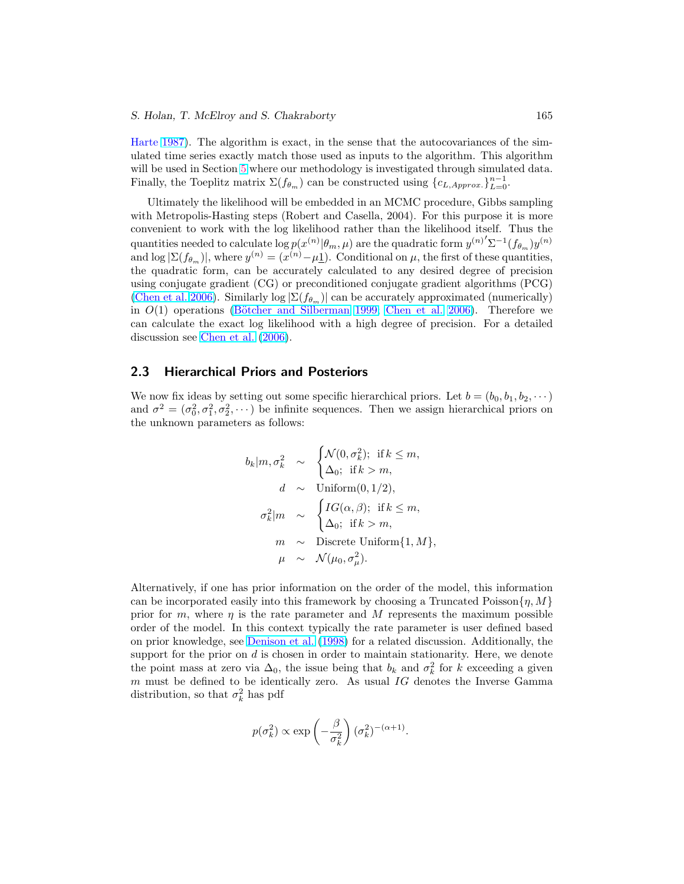## <span id="page-6-0"></span>S. Holan, T. McElroy and S. Chakraborty 165

Harte [1987\)](#page-24-0). The algorithm is exact, in the sense that the autocovariances of the simulated time series exactly match those used as inputs to the algorithm. This algorithm will be used in Section [5](#page-14-0) where our methodology is investigated through simulated data. Finally, the Toeplitz matrix  $\Sigma(f_{\theta_m})$  can be constructed using  $\{c_{L,Approx.}\}_{L=0}^{n-1}$ .

Ultimately the likelihood will be embedded in an MCMC procedure, Gibbs sampling with Metropolis-Hasting steps (Robert and Casella, 2004). For this purpose it is more convenient to work with the log likelihood rather than the likelihood itself. Thus the quantities needed to calculate  $\log p(x^{(n)}|\theta_m,\mu)$  are the quadratic form  ${y^{(n)}}'\Sigma^{-1}(f_{\theta_m})y^{(n)}$ and  $\log |\Sigma(f_{\theta_m})|$ , where  $y^{(n)} = (x^{(n)} - \mu \underline{1})$ . Conditional on  $\mu$ , the first of these quantities, the quadratic form, can be accurately calculated to any desired degree of precision using conjugate gradient (CG) or preconditioned conjugate gradient algorithms (PCG) [\(Chen et al.](#page-24-0) [2006\)](#page-24-0). Similarly log  $\Sigma(f_{\theta_m})$  can be accurately approximated (numerically) in  $O(1)$  operations (Bötcher and Silberman [1999;](#page-24-0) [Chen et al.](#page-24-0) [2006\)](#page-24-0). Therefore we can calculate the exact log likelihood with a high degree of precision. For a detailed discussion see [Chen et al.](#page-24-0) [\(2006\)](#page-24-0).

## 2.3 Hierarchical Priors and Posteriors

We now fix ideas by setting out some specific hierarchical priors. Let  $b = (b_0, b_1, b_2, \dots)$ and  $\sigma^2 = (\sigma_0^2, \sigma_1^2, \sigma_2^2, \cdots)$  be infinite sequences. Then we assign hierarchical priors on the unknown parameters as follows:

$$
b_k|m, \sigma_k^2 \sim \begin{cases} \mathcal{N}(0, \sigma_k^2); & \text{if } k \leq m, \\ \Delta_0; & \text{if } k > m, \end{cases}
$$
  

$$
d \sim \text{Uniform}(0, 1/2),
$$
  

$$
\sigma_k^2|m \sim \begin{cases} IG(\alpha, \beta); & \text{if } k \leq m, \\ \Delta_0; & \text{if } k > m, \end{cases}
$$
  

$$
m \sim \text{Discrete Uniform}\{1, M\},
$$
  

$$
\mu \sim \mathcal{N}(\mu_0, \sigma_\mu^2).
$$

Alternatively, if one has prior information on the order of the model, this information can be incorporated easily into this framework by choosing a Truncated Poisson $\{\eta, M\}$ prior for m, where  $\eta$  is the rate parameter and M represents the maximum possible order of the model. In this context typically the rate parameter is user defined based on prior knowledge, see [Denison et al.](#page-25-0) [\(1998\)](#page-25-0) for a related discussion. Additionally, the support for the prior on  $d$  is chosen in order to maintain stationarity. Here, we denote the point mass at zero via  $\Delta_0$ , the issue being that  $b_k$  and  $\sigma_k^2$  for k exceeding a given  $m$  must be defined to be identically zero. As usual  $IG$  denotes the Inverse Gamma distribution, so that  $\sigma_k^2$  has pdf

$$
p(\sigma_k^2) \propto \exp\left(-\frac{\beta}{\sigma_k^2}\right) (\sigma_k^2)^{-(\alpha+1)}.
$$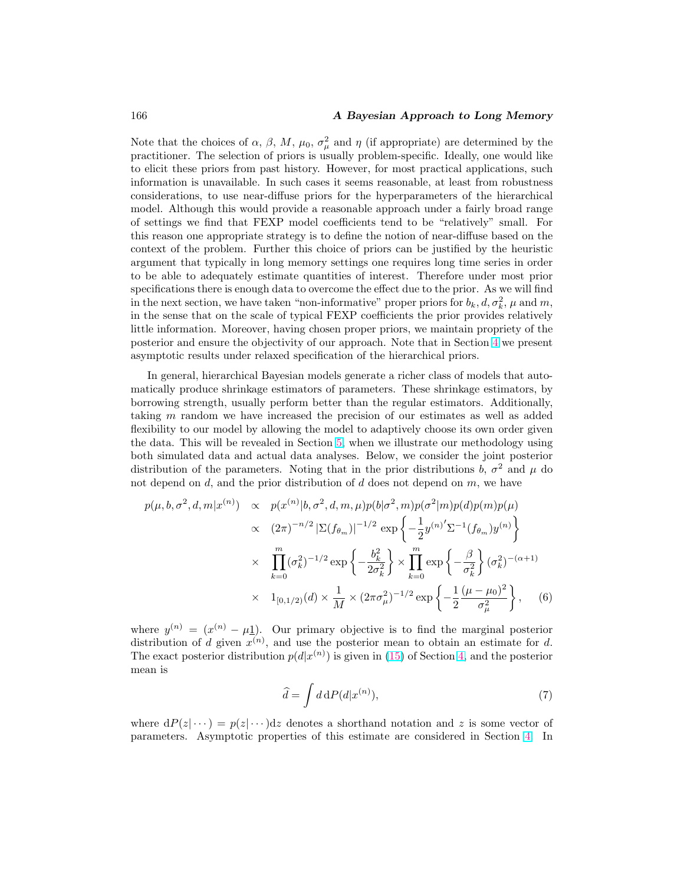## <span id="page-7-0"></span>166 **A Bayesian Approach to Long Memory**

Note that the choices of  $\alpha$ ,  $\beta$ ,  $M$ ,  $\mu_0$ ,  $\sigma_\mu^2$  and  $\eta$  (if appropriate) are determined by the practitioner. The selection of priors is usually problem-specific. Ideally, one would like to elicit these priors from past history. However, for most practical applications, such information is unavailable. In such cases it seems reasonable, at least from robustness considerations, to use near-diffuse priors for the hyperparameters of the hierarchical model. Although this would provide a reasonable approach under a fairly broad range of settings we find that FEXP model coefficients tend to be "relatively" small. For this reason one appropriate strategy is to define the notion of near-diffuse based on the context of the problem. Further this choice of priors can be justified by the heuristic argument that typically in long memory settings one requires long time series in order to be able to adequately estimate quantities of interest. Therefore under most prior specifications there is enough data to overcome the effect due to the prior. As we will find in the next section, we have taken "non-informative" proper priors for  $b_k, d, \sigma_k^2, \mu$  and m, in the sense that on the scale of typical FEXP coefficients the prior provides relatively little information. Moreover, having chosen proper priors, we maintain propriety of the posterior and ensure the objectivity of our approach. Note that in Section [4](#page-13-0) we present asymptotic results under relaxed specification of the hierarchical priors.

In general, hierarchical Bayesian models generate a richer class of models that automatically produce shrinkage estimators of parameters. These shrinkage estimators, by borrowing strength, usually perform better than the regular estimators. Additionally, taking m random we have increased the precision of our estimates as well as added flexibility to our model by allowing the model to adaptively choose its own order given the data. This will be revealed in Section [5,](#page-14-0) when we illustrate our methodology using both simulated data and actual data analyses. Below, we consider the joint posterior distribution of the parameters. Noting that in the prior distributions  $b, \sigma^2$  and  $\mu$  do not depend on d, and the prior distribution of  $d$  does not depend on  $m$ , we have

$$
p(\mu, b, \sigma^2, d, m | x^{(n)}) \propto p(x^{(n)} | b, \sigma^2, d, m, \mu) p(b | \sigma^2, m) p(\sigma^2 | m) p(d) p(m) p(\mu)
$$
  
 
$$
\propto (2\pi)^{-n/2} |\Sigma(f_{\theta_m})|^{-1/2} \exp \left\{-\frac{1}{2} y^{(n)'} \Sigma^{-1} (f_{\theta_m}) y^{(n)}\right\}
$$
  
 
$$
\times \prod_{k=0}^m (\sigma_k^2)^{-1/2} \exp \left\{-\frac{b_k^2}{2\sigma_k^2}\right\} \times \prod_{k=0}^m \exp \left\{-\frac{\beta}{\sigma_k^2}\right\} (\sigma_k^2)^{-(\alpha+1)}
$$
  
 
$$
\times 1_{[0,1/2)}(d) \times \frac{1}{M} \times (2\pi \sigma_\mu^2)^{-1/2} \exp \left\{-\frac{1}{2} \frac{(\mu - \mu_0)^2}{\sigma_\mu^2}\right\}, \quad (6)
$$

where  $y^{(n)} = (x^{(n)} - \mu \underline{1})$ . Our primary objective is to find the marginal posterior distribution of d given  $x^{(n)}$ , and use the posterior mean to obtain an estimate for d. The exact posterior distribution  $p(d|x^{(n)})$  is given in [\(15\)](#page-13-0) of Section [4,](#page-13-0) and the posterior mean is

$$
\widehat{d} = \int d \, \mathrm{d}P(d|x^{(n)}),\tag{7}
$$

where  $dP(z|\cdots) = p(z|\cdots)dz$  denotes a shorthand notation and z is some vector of parameters. Asymptotic properties of this estimate are considered in Section [4.](#page-13-0) In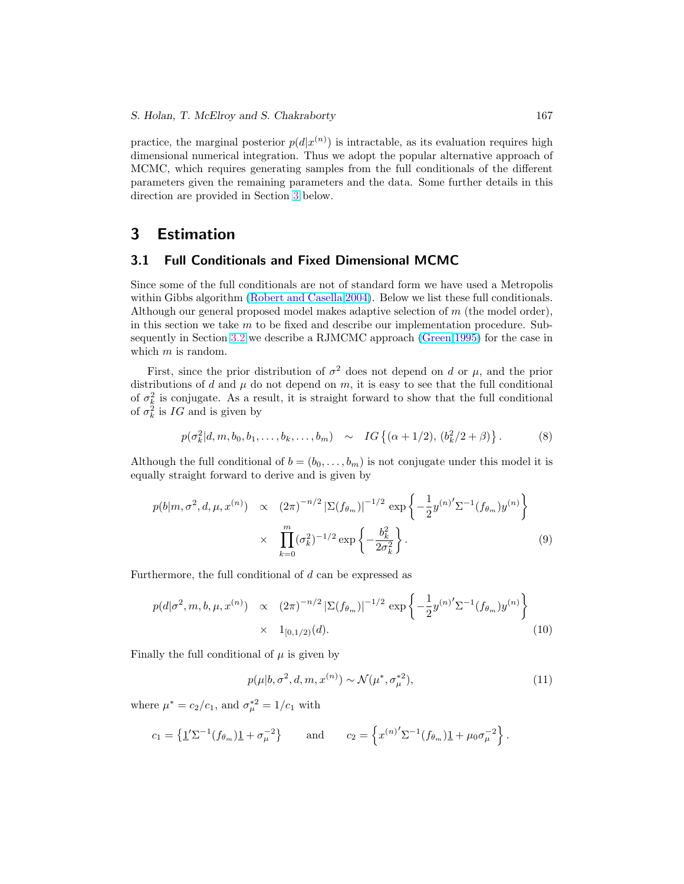<span id="page-8-0"></span>practice, the marginal posterior  $p(d|x^{(n)})$  is intractable, as its evaluation requires high dimensional numerical integration. Thus we adopt the popular alternative approach of MCMC, which requires generating samples from the full conditionals of the different parameters given the remaining parameters and the data. Some further details in this direction are provided in Section 3 below.

# 3 Estimation

# 3.1 Full Conditionals and Fixed Dimensional MCMC

Since some of the full conditionals are not of standard form we have used a Metropolis within Gibbs algorithm [\(Robert and Casella](#page-26-0) [2004\)](#page-26-0). Below we list these full conditionals. Although our general proposed model makes adaptive selection of  $m$  (the model order), in this section we take  $m$  to be fixed and describe our implementation procedure. Subsequently in Section [3.2](#page-10-0) we describe a RJMCMC approach [\(Green](#page-25-0) [1995\)](#page-25-0) for the case in which  $m$  is random.

First, since the prior distribution of  $\sigma^2$  does not depend on d or  $\mu$ , and the prior distributions of d and  $\mu$  do not depend on m, it is easy to see that the full conditional of  $\sigma_k^2$  is conjugate. As a result, it is straight forward to show that the full conditional of  $\sigma_k^2$  is  $IG$  and is given by

$$
p(\sigma_k^2 | d, m, b_0, b_1, \dots, b_k, \dots, b_m) \sim IG\{(\alpha + 1/2), (b_k^2/2 + \beta)\}.
$$
 (8)

Although the full conditional of  $b = (b_0, \ldots, b_m)$  is not conjugate under this model it is equally straight forward to derive and is given by

$$
p(b|m, \sigma^2, d, \mu, x^{(n)}) \propto (2\pi)^{-n/2} |\Sigma(f_{\theta_m})|^{-1/2} \exp\left\{-\frac{1}{2}y^{(n)'}\Sigma^{-1}(f_{\theta_m})y^{(n)}\right\}
$$

$$
\times \prod_{k=0}^m (\sigma_k^2)^{-1/2} \exp\left\{-\frac{b_k^2}{2\sigma_k^2}\right\}.
$$
 (9)

Furthermore, the full conditional of d can be expressed as

$$
p(d|\sigma^2, m, b, \mu, x^{(n)}) \propto (2\pi)^{-n/2} |\Sigma(f_{\theta_m})|^{-1/2} \exp\left\{-\frac{1}{2}y^{(n)'}\Sigma^{-1}(f_{\theta_m})y^{(n)}\right\}
$$
  
 
$$
\times 1_{[0,1/2)}(d). \tag{10}
$$

Finally the full conditional of  $\mu$  is given by

$$
p(\mu|b, \sigma^2, d, m, x^{(n)}) \sim \mathcal{N}(\mu^*, \sigma_\mu^{*2}),
$$
\n(11)

where  $\mu^* = c_2/c_1$ , and  $\sigma_{\mu}^{*2} = 1/c_1$  with

$$
c_1 = \left\{ \underline{1}' \Sigma^{-1} (f_{\theta_m}) \underline{1} + \sigma_{\mu}^{-2} \right\}
$$
 and  $c_2 = \left\{ x^{(n)'} \Sigma^{-1} (f_{\theta_m}) \underline{1} + \mu_0 \sigma_{\mu}^{-2} \right\}.$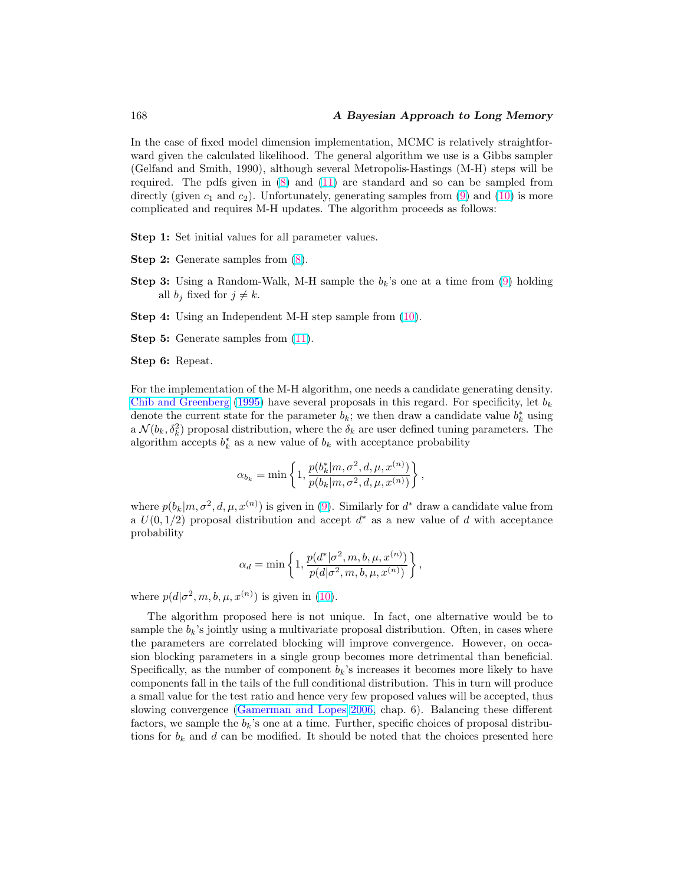<span id="page-9-0"></span>In the case of fixed model dimension implementation, MCMC is relatively straightforward given the calculated likelihood. The general algorithm we use is a Gibbs sampler (Gelfand and Smith, 1990), although several Metropolis-Hastings (M-H) steps will be required. The pdfs given in [\(8\)](#page-8-0) and [\(11\)](#page-8-0) are standard and so can be sampled from directly (given  $c_1$  and  $c_2$ ). Unfortunately, generating samples from [\(9\)](#page-8-0) and [\(10\)](#page-8-0) is more complicated and requires M-H updates. The algorithm proceeds as follows:

Step 1: Set initial values for all parameter values.

- Step 2: Generate samples from [\(8\)](#page-8-0).
- **Step 3:** Using a Random-Walk, M-H sample the  $b_k$ 's one at a time from [\(9\)](#page-8-0) holding all  $b_i$  fixed for  $j \neq k$ .
- Step 4: Using an Independent M-H step sample from [\(10\)](#page-8-0).

Step 5: Generate samples from  $(11)$ .

Step 6: Repeat.

For the implementation of the M-H algorithm, one needs a candidate generating density. [Chib and Greenberg](#page-24-0) [\(1995\)](#page-24-0) have several proposals in this regard. For specificity, let  $b_k$ denote the current state for the parameter  $b_k$ ; we then draw a candidate value  $b_k^*$  using a  $\mathcal{N}(b_k, \delta_k^2)$  proposal distribution, where the  $\delta_k$  are user defined tuning parameters. The algorithm accepts  $b_k^*$  as a new value of  $b_k$  with acceptance probability

$$
\alpha_{b_k} = \min \left\{ 1, \frac{p(b_k^* | m, \sigma^2, d, \mu, x^{(n)})}{p(b_k | m, \sigma^2, d, \mu, x^{(n)})} \right\},\,
$$

where  $p(b_k|m, \sigma^2, d, \mu, x^{(n)})$  is given in [\(9\)](#page-8-0). Similarly for  $d^*$  draw a candidate value from a  $U(0, 1/2)$  proposal distribution and accept  $d^*$  as a new value of d with acceptance probability

$$
\alpha_d = \min\left\{1, \frac{p(d^*|\sigma^2, m, b, \mu, x^{(n)})}{p(d|\sigma^2, m, b, \mu, x^{(n)})}\right\},\,
$$

where  $p(d|\sigma^2, m, b, \mu, x^{(n)})$  is given in [\(10\)](#page-8-0).

The algorithm proposed here is not unique. In fact, one alternative would be to sample the  $b_k$ 's jointly using a multivariate proposal distribution. Often, in cases where the parameters are correlated blocking will improve convergence. However, on occasion blocking parameters in a single group becomes more detrimental than beneficial. Specifically, as the number of component  $b_k$ 's increases it becomes more likely to have components fall in the tails of the full conditional distribution. This in turn will produce a small value for the test ratio and hence very few proposed values will be accepted, thus slowing convergence [\(Gamerman and Lopes](#page-25-0) [2006,](#page-25-0) chap. 6). Balancing these different factors, we sample the  $b_k$ 's one at a time. Further, specific choices of proposal distributions for  $b_k$  and d can be modified. It should be noted that the choices presented here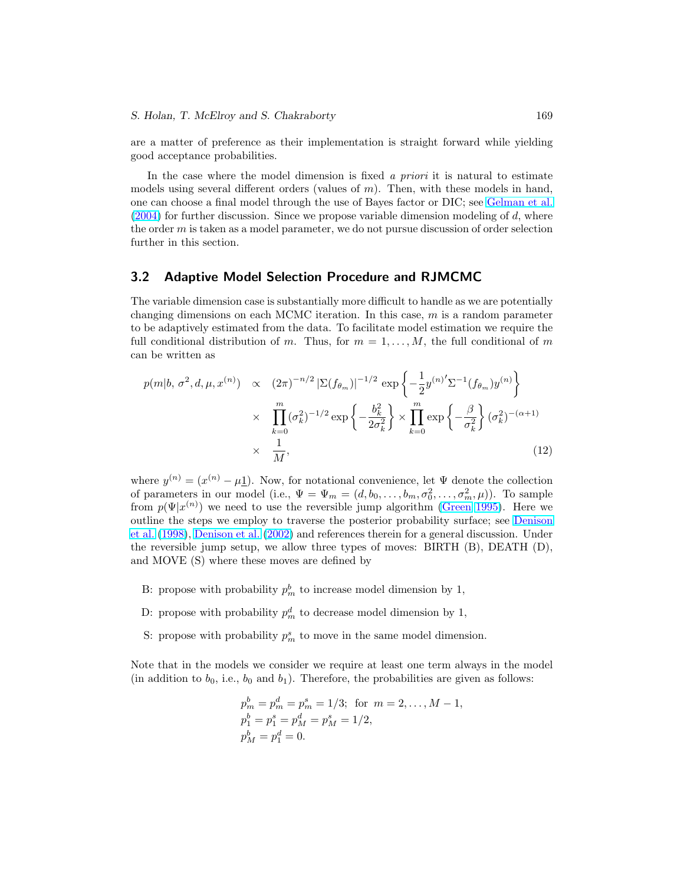<span id="page-10-0"></span>are a matter of preference as their implementation is straight forward while yielding good acceptance probabilities.

In the case where the model dimension is fixed  $\alpha$  priori it is natural to estimate models using several different orders (values of  $m$ ). Then, with these models in hand, one can choose a final model through the use of Bayes factor or DIC; see [Gelman et al.](#page-25-0)  $(2004)$  for further discussion. Since we propose variable dimension modeling of d, where the order  $m$  is taken as a model parameter, we do not pursue discussion of order selection further in this section.

## 3.2 Adaptive Model Selection Procedure and RJMCMC

The variable dimension case is substantially more difficult to handle as we are potentially changing dimensions on each MCMC iteration. In this case,  $m$  is a random parameter to be adaptively estimated from the data. To facilitate model estimation we require the full conditional distribution of m. Thus, for  $m = 1, \ldots, M$ , the full conditional of m can be written as

$$
p(m|b, \sigma^2, d, \mu, x^{(n)}) \propto (2\pi)^{-n/2} |\Sigma(f_{\theta_m})|^{-1/2} \exp\left\{-\frac{1}{2}y^{(n)'}\Sigma^{-1}(f_{\theta_m})y^{(n)}\right\}
$$
  
 
$$
\times \prod_{k=0}^m (\sigma_k^2)^{-1/2} \exp\left\{-\frac{b_k^2}{2\sigma_k^2}\right\} \times \prod_{k=0}^m \exp\left\{-\frac{\beta}{\sigma_k^2}\right\} (\sigma_k^2)^{-(\alpha+1)}
$$
  
 
$$
\times \frac{1}{M}, \tag{12}
$$

where  $y^{(n)} = (x^{(n)} - \mu \underline{1})$ . Now, for notational convenience, let  $\Psi$  denote the collection of parameters in our model (i.e.,  $\Psi = \Psi_m = (d, b_0, \dots, b_m, \sigma_0^2, \dots, \sigma_m^2, \mu)$ ). To sample from  $p(\Psi|x^{(n)})$  we need to use the reversible jump algorithm [\(Green](#page-25-0) [1995\)](#page-25-0). Here we outline the steps we employ to traverse the posterior probability surface; see [Denison](#page-25-0) [et al.](#page-25-0) [\(1998\)](#page-25-0), [Denison et al.](#page-24-0) [\(2002\)](#page-24-0) and references therein for a general discussion. Under the reversible jump setup, we allow three types of moves: BIRTH (B), DEATH (D), and MOVE (S) where these moves are defined by

- B: propose with probability  $p_m^b$  to increase model dimension by 1,
- D: propose with probability  $p_m^d$  to decrease model dimension by 1,
- S: propose with probability  $p_m^s$  to move in the same model dimension.

Note that in the models we consider we require at least one term always in the model (in addition to  $b_0$ , i.e.,  $b_0$  and  $b_1$ ). Therefore, the probabilities are given as follows:

$$
p_m^b = p_m^d = p_m^s = 1/3; \text{ for } m = 2, ..., M - 1,
$$
  
\n
$$
p_1^b = p_1^s = p_M^d = p_M^s = 1/2,
$$
  
\n
$$
p_M^b = p_1^d = 0.
$$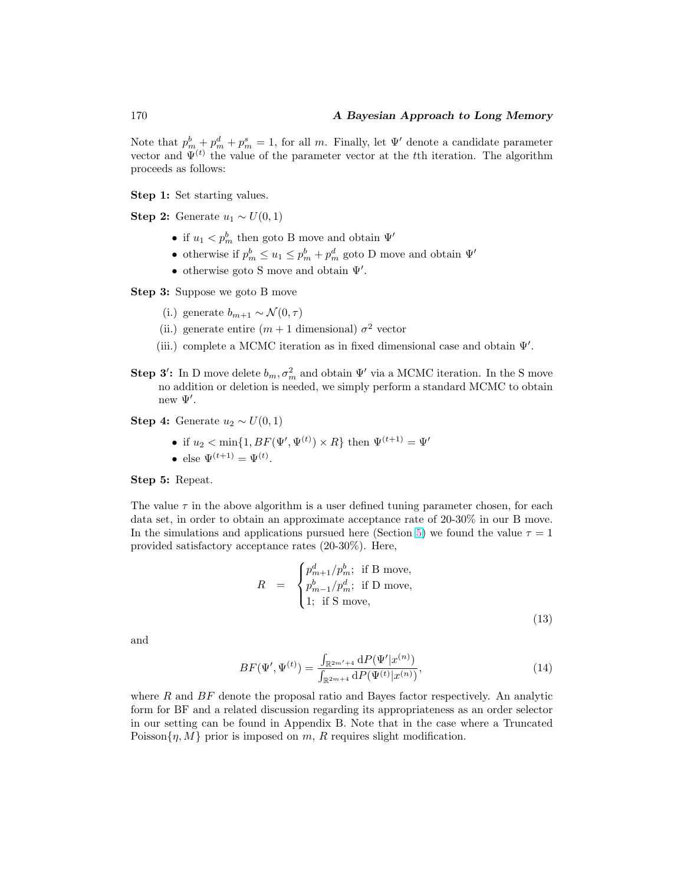<span id="page-11-0"></span>Note that  $p_m^b + p_m^d + p_m^s = 1$ , for all m. Finally, let  $\Psi'$  denote a candidate parameter vector and  $\Psi^{(t)}$  the value of the parameter vector at the t<sup>th</sup> iteration. The algorithm proceeds as follows:

Step 1: Set starting values.

Step 2: Generate  $u_1 \sim U(0, 1)$ 

- if  $u_1 < p_m^b$  then goto B move and obtain  $\Psi'$
- otherwise if  $p_m^b \leq u_1 \leq p_m^b + p_m^d$  goto D move and obtain  $\Psi'$
- otherwise goto S move and obtain  $\Psi'$ .

Step 3: Suppose we goto B move

- (i.) generate  $b_{m+1} \sim \mathcal{N}(0, \tau)$
- (ii.) generate entire  $(m+1 \text{ dimensional}) \sigma^2$  vector
- (iii.) complete a MCMC iteration as in fixed dimensional case and obtain  $\Psi'$ .
- **Step 3':** In D move delete  $b_m, \sigma_m^2$  and obtain  $\Psi'$  via a MCMC iteration. In the S move no addition or deletion is needed, we simply perform a standard MCMC to obtain new  $\Psi'$ .

Step 4: Generate  $u_2 \sim U(0,1)$ 

- if  $u_2 < \min\{1, BF(\Psi', \Psi^{(t)}) \times R\}$  then  $\Psi^{(t+1)} = \Psi'$
- else  $\Psi^{(t+1)} = \Psi^{(t)}$ .

Step 5: Repeat.

The value  $\tau$  in the above algorithm is a user defined tuning parameter chosen, for each data set, in order to obtain an approximate acceptance rate of 20-30% in our B move. In the simulations and applications pursued here (Section [5\)](#page-14-0) we found the value  $\tau = 1$ provided satisfactory acceptance rates (20-30%). Here,

$$
R = \begin{cases} p_{m+1}^d / p_m^b; \text{ if B move,} \\ p_{m-1}^b / p_m^d; \text{ if D move,} \\ 1; \text{ if S move,} \end{cases}
$$
 (13)

and

$$
BF(\Psi', \Psi^{(t)}) = \frac{\int_{\mathbb{R}^{2m'+4}} dP(\Psi'|x^{(n)})}{\int_{\mathbb{R}^{2m+4}} dP(\Psi^{(t)}|x^{(n)})},
$$
\n(14)

where  $R$  and  $BF$  denote the proposal ratio and Bayes factor respectively. An analytic form for BF and a related discussion regarding its appropriateness as an order selector in our setting can be found in Appendix B. Note that in the case where a Truncated Poisson $\{\eta, M\}$  prior is imposed on m, R requires slight modification.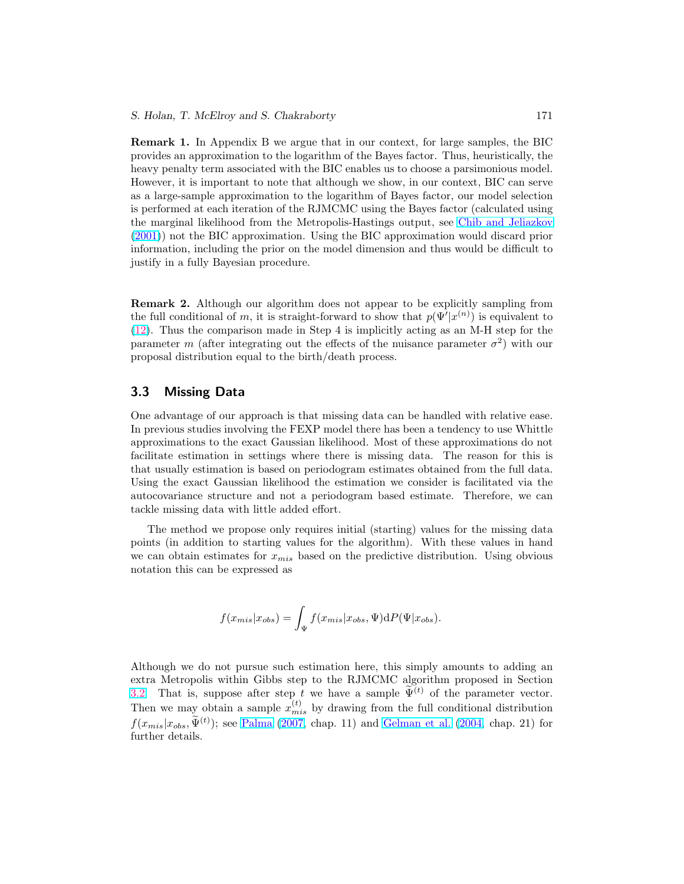<span id="page-12-0"></span>Remark 1. In Appendix B we argue that in our context, for large samples, the BIC provides an approximation to the logarithm of the Bayes factor. Thus, heuristically, the heavy penalty term associated with the BIC enables us to choose a parsimonious model. However, it is important to note that although we show, in our context, BIC can serve as a large-sample approximation to the logarithm of Bayes factor, our model selection is performed at each iteration of the RJMCMC using the Bayes factor (calculated using the marginal likelihood from the Metropolis-Hastings output, see [Chib and Jeliazkov](#page-24-0) [\(2001\)](#page-24-0)) not the BIC approximation. Using the BIC approximation would discard prior information, including the prior on the model dimension and thus would be difficult to justify in a fully Bayesian procedure.

Remark 2. Although our algorithm does not appear to be explicitly sampling from the full conditional of m, it is straight-forward to show that  $p(\Psi'|x^{(n)})$  is equivalent to [\(12\)](#page-10-0). Thus the comparison made in Step 4 is implicitly acting as an M-H step for the parameter m (after integrating out the effects of the nuisance parameter  $\sigma^2$ ) with our proposal distribution equal to the birth/death process.

## 3.3 Missing Data

One advantage of our approach is that missing data can be handled with relative ease. In previous studies involving the FEXP model there has been a tendency to use Whittle approximations to the exact Gaussian likelihood. Most of these approximations do not facilitate estimation in settings where there is missing data. The reason for this is that usually estimation is based on periodogram estimates obtained from the full data. Using the exact Gaussian likelihood the estimation we consider is facilitated via the autocovariance structure and not a periodogram based estimate. Therefore, we can tackle missing data with little added effort.

The method we propose only requires initial (starting) values for the missing data points (in addition to starting values for the algorithm). With these values in hand we can obtain estimates for  $x_{mis}$  based on the predictive distribution. Using obvious notation this can be expressed as

$$
f(x_{mis}|x_{obs}) = \int_{\Psi} f(x_{mis}|x_{obs}, \Psi) dP(\Psi|x_{obs}).
$$

Although we do not pursue such estimation here, this simply amounts to adding an extra Metropolis within Gibbs step to the RJMCMC algorithm proposed in Section [3.2.](#page-10-0) That is, suppose after step t we have a sample  $\tilde{\Psi}^{(t)}$  of the parameter vector. Then we may obtain a sample  $x_{mis}^{(t)}$  by drawing from the full conditional distribution  $f(x_{mis}|x_{obs}, \tilde{\Psi}^{(t)})$ ; see [Palma](#page-26-0) [\(2007,](#page-26-0) chap. 11) and [Gelman et al.](#page-25-0) [\(2004,](#page-25-0) chap. 21) for further details.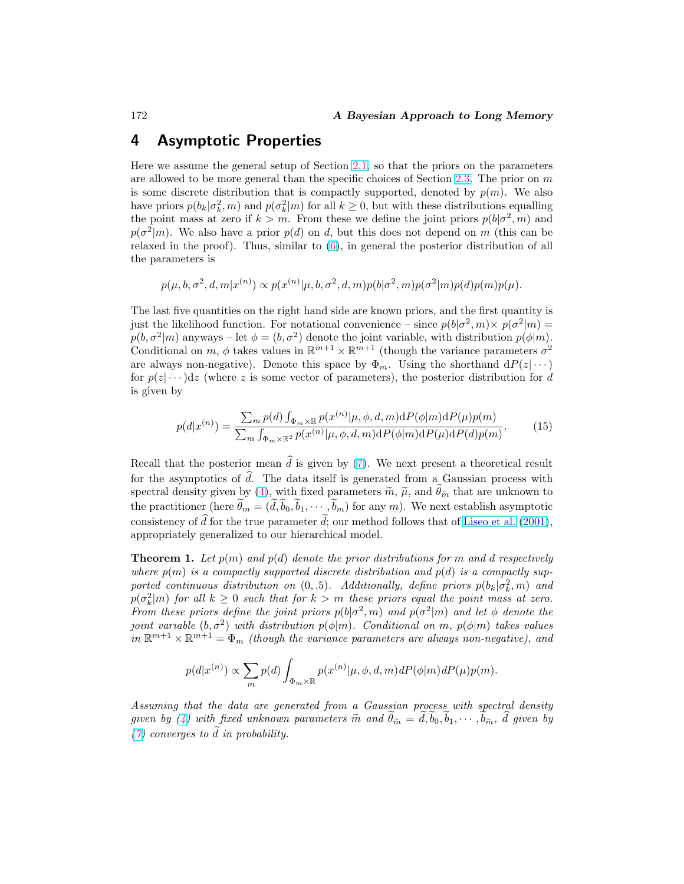# <span id="page-13-0"></span>4 Asymptotic Properties

Here we assume the general setup of Section [2.1,](#page-4-0) so that the priors on the parameters are allowed to be more general than the specific choices of Section [2.3.](#page-6-0) The prior on  $m$ is some discrete distribution that is compactly supported, denoted by  $p(m)$ . We also have priors  $p(b_k|\sigma_k^2,m)$  and  $p(\sigma_k^2|m)$  for all  $k\geq 0$ , but with these distributions equalling the point mass at zero if  $k > m$ . From these we define the joint priors  $p(b|\sigma^2,m)$  and  $p(\sigma^2|m)$ . We also have a prior  $p(d)$  on d, but this does not depend on m (this can be relaxed in the proof). Thus, similar to [\(6\)](#page-7-0), in general the posterior distribution of all the parameters is

$$
p(\mu, b, \sigma^2, d, m | x^{(n)}) \propto p(x^{(n)} | \mu, b, \sigma^2, d, m) p(b | \sigma^2, m) p(\sigma^2 | m) p(d) p(m) p(\mu).
$$

The last five quantities on the right hand side are known priors, and the first quantity is just the likelihood function. For notational convenience – since  $p(b|\sigma^2,m) \times p(\sigma^2|m)$  $p(b, \sigma^2|m)$  anyways – let  $\phi = (b, \sigma^2)$  denote the joint variable, with distribution  $p(\phi|m)$ . Conditional on m,  $\phi$  takes values in  $\mathbb{R}^{m+1} \times \mathbb{R}^{m+1}$  (though the variance parameters  $\sigma^2$ are always non-negative). Denote this space by  $\Phi_m$ . Using the shorthand  $dP(z|\cdots)$ for  $p(z) \cdots dz$  (where z is some vector of parameters), the posterior distribution for d is given by

$$
p(d|x^{(n)}) = \frac{\sum_{m} p(d) \int_{\Phi_{m} \times \mathbb{R}} p(x^{(n)} | \mu, \phi, d, m) \mathrm{d}P(\phi|m) \mathrm{d}P(\mu)p(m)}{\sum_{m} \int_{\Phi_{m} \times \mathbb{R}^{2}} p(x^{(n)} | \mu, \phi, d, m) \mathrm{d}P(\phi|m) \mathrm{d}P(\mu) \mathrm{d}P(d)p(m)}.
$$
(15)

Recall that the posterior mean  $\hat{d}$  is given by [\(7\)](#page-7-0). We next present a theoretical result for the asymptotics of  $\hat{d}$ . The data itself is generated from a Gaussian process with spectral density given by [\(4\)](#page-4-0), with fixed parameters  $\tilde{m}$ ,  $\tilde{\mu}$ , and  $\theta_{\tilde{m}}$  that are unknown to the practitioner (here  $\tilde{\theta}_m = (\tilde{d}, \tilde{b}_0, \tilde{b}_1, \cdots, \tilde{b}_m)$  for any m). We next establish asymptotic consistency of  $\hat{d}$  for the true parameter  $\hat{d}$ ; our method follows that of [Liseo et al.](#page-26-0) [\(2001\)](#page-26-0), appropriately generalized to our hierarchical model.

**Theorem 1.** Let  $p(m)$  and  $p(d)$  denote the prior distributions for m and d respectively where  $p(m)$  is a compactly supported discrete distribution and  $p(d)$  is a compactly supported continuous distribution on  $(0, .5)$ . Additionally, define priors  $p(b_k | \sigma_k^2, m)$  and  $p(\sigma_k^2|m)$  for all  $k\geq 0$  such that for  $k>m$  these priors equal the point mass at zero. From these priors define the joint priors  $p(b|\sigma^2, m)$  and  $p(\sigma^2|m)$  and let  $\phi$  denote the joint variable  $(b, \sigma^2)$  with distribution  $p(\phi|m)$ . Conditional on m,  $p(\phi|m)$  takes values in  $\mathbb{R}^{m+1} \times \mathbb{R}^{m+1} = \Phi_m$  (though the variance parameters are always non-negative), and

$$
p(d|x^{(n)}) \propto \sum_{m} p(d) \int_{\Phi_m \times \mathbb{R}} p(x^{(n)}|\mu, \phi, d, m) dP(\phi|m) dP(\mu)p(m).
$$

Assuming that the data are generated from a Gaussian process with spectral density given by [\(4\)](#page-4-0) with fixed unknown parameters  $\tilde{m}$  and  $\tilde{\theta}_{\tilde{m}} = d, b_0, b_1, \cdots, b_{\tilde{m}}$ , d given by [\(7\)](#page-7-0) converges to  $\tilde{d}$  in probability.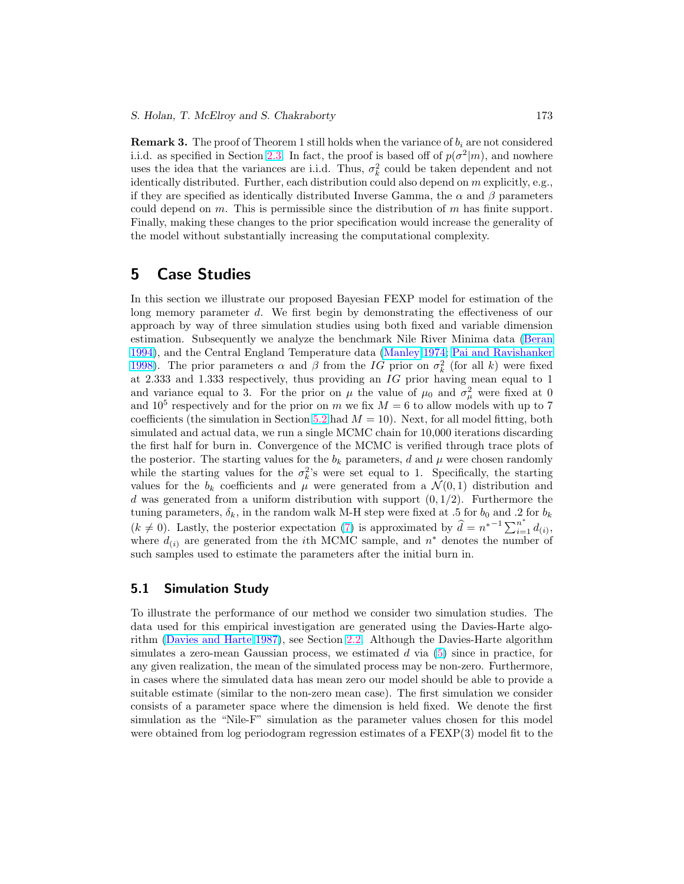<span id="page-14-0"></span>**Remark 3.** The proof of Theorem 1 still holds when the variance of  $b_i$  are not considered i.i.d. as specified in Section [2.3.](#page-6-0) In fact, the proof is based off of  $p(\sigma^2|m)$ , and nowhere uses the idea that the variances are i.i.d. Thus,  $\sigma_k^2$  could be taken dependent and not identically distributed. Further, each distribution could also depend on  $m$  explicitly, e.g., if they are specified as identically distributed Inverse Gamma, the  $\alpha$  and  $\beta$  parameters could depend on m. This is permissible since the distribution of  $m$  has finite support. Finally, making these changes to the prior specification would increase the generality of the model without substantially increasing the computational complexity.

# 5 Case Studies

In this section we illustrate our proposed Bayesian FEXP model for estimation of the long memory parameter d. We first begin by demonstrating the effectiveness of our approach by way of three simulation studies using both fixed and variable dimension estimation. Subsequently we analyze the benchmark Nile River Minima data [\(Beran](#page-24-0) [1994\)](#page-24-0), and the Central England Temperature data [\(Manley](#page-26-0) [1974;](#page-26-0) [Pai and Ravishanker](#page-26-0) [1998\)](#page-26-0). The prior parameters  $\alpha$  and  $\beta$  from the  $IG$  prior on  $\sigma_k^2$  (for all k) were fixed at 2.333 and 1.333 respectively, thus providing an IG prior having mean equal to 1 and variance equal to 3. For the prior on  $\mu$  the value of  $\mu_0$  and  $\sigma_\mu^2$  were fixed at 0 and 10<sup>5</sup> respectively and for the prior on m we fix  $M = 6$  to allow models with up to 7 coefficients (the simulation in Section [5.2](#page-17-0) had  $M = 10$ ). Next, for all model fitting, both simulated and actual data, we run a single MCMC chain for 10,000 iterations discarding the first half for burn in. Convergence of the MCMC is verified through trace plots of the posterior. The starting values for the  $b_k$  parameters, d and  $\mu$  were chosen randomly while the starting values for the  $\sigma_k^2$ 's were set equal to 1. Specifically, the starting values for the  $b_k$  coefficients and  $\mu$  were generated from a  $\mathcal{N}(0,1)$  distribution and d was generated from a uniform distribution with support  $(0, 1/2)$ . Furthermore the tuning parameters,  $\delta_k$ , in the random walk M-H step were fixed at .5 for  $b_0$  and .2 for  $b_k$  $(k \neq 0)$ . Lastly, the posterior expectation [\(7\)](#page-7-0) is approximated by  $\hat{d} = n^{*-1} \sum_{i=1}^{n^*} d_{(i)}$ , where  $d_{(i)}$  are generated from the *i*th MCMC sample, and  $n^*$  denotes the number of such samples used to estimate the parameters after the initial burn in.

## 5.1 Simulation Study

To illustrate the performance of our method we consider two simulation studies. The data used for this empirical investigation are generated using the Davies-Harte algorithm [\(Davies and Harte](#page-24-0) [1987\)](#page-24-0), see Section [2.2.](#page-5-0) Although the Davies-Harte algorithm simulates a zero-mean Gaussian process, we estimated  $d$  via  $(5)$  since in practice, for any given realization, the mean of the simulated process may be non-zero. Furthermore, in cases where the simulated data has mean zero our model should be able to provide a suitable estimate (similar to the non-zero mean case). The first simulation we consider consists of a parameter space where the dimension is held fixed. We denote the first simulation as the "Nile-F" simulation as the parameter values chosen for this model were obtained from log periodogram regression estimates of a FEXP(3) model fit to the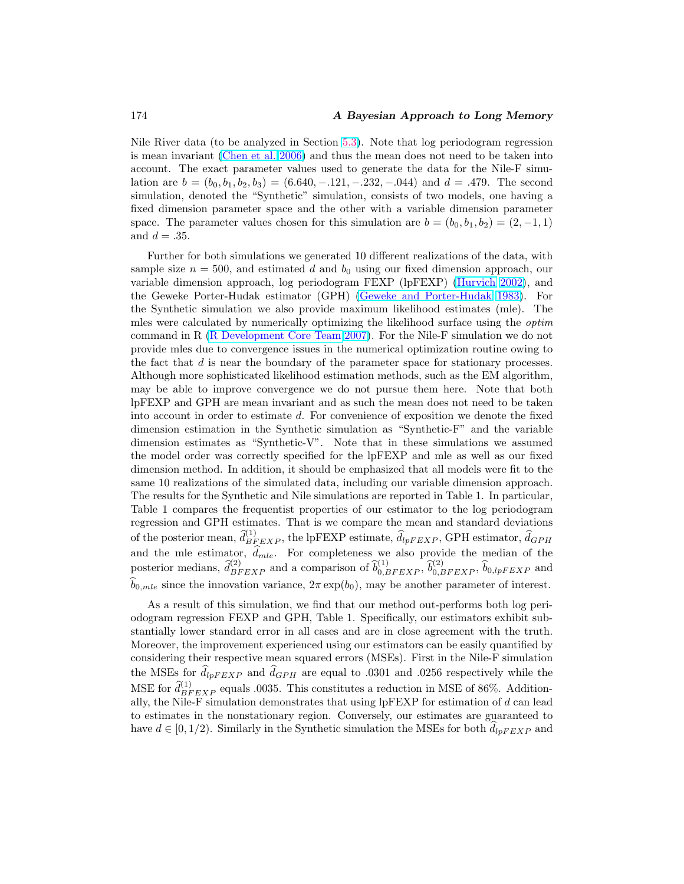## <span id="page-15-0"></span>174 **A Bayesian Approach to Long Memory**

Nile River data (to be analyzed in Section [5.3\)](#page-18-0). Note that log periodogram regression is mean invariant [\(Chen et al.](#page-24-0) [2006\)](#page-24-0) and thus the mean does not need to be taken into account. The exact parameter values used to generate the data for the Nile-F simulation are  $b = (b_0, b_1, b_2, b_3) = (6.640, -121, -232, -044)$  and  $d = .479$ . The second simulation, denoted the "Synthetic" simulation, consists of two models, one having a fixed dimension parameter space and the other with a variable dimension parameter space. The parameter values chosen for this simulation are  $b = (b_0, b_1, b_2) = (2, -1, 1)$ and  $d = .35$ .

Further for both simulations we generated 10 different realizations of the data, with sample size  $n = 500$ , and estimated d and  $b<sub>0</sub>$  using our fixed dimension approach, our variable dimension approach, log periodogram FEXP (lpFEXP) [\(Hurvich](#page-25-0) [2002\)](#page-25-0), and the Geweke Porter-Hudak estimator (GPH) [\(Geweke and Porter-Hudak](#page-25-0) [1983\)](#page-25-0). For the Synthetic simulation we also provide maximum likelihood estimates (mle). The mles were calculated by numerically optimizing the likelihood surface using the optim command in R [\(R Development Core Team](#page-26-0) [2007\)](#page-26-0). For the Nile-F simulation we do not provide mles due to convergence issues in the numerical optimization routine owing to the fact that d is near the boundary of the parameter space for stationary processes. Although more sophisticated likelihood estimation methods, such as the EM algorithm, may be able to improve convergence we do not pursue them here. Note that both lpFEXP and GPH are mean invariant and as such the mean does not need to be taken into account in order to estimate d. For convenience of exposition we denote the fixed dimension estimation in the Synthetic simulation as "Synthetic-F" and the variable dimension estimates as "Synthetic-V". Note that in these simulations we assumed the model order was correctly specified for the lpFEXP and mle as well as our fixed dimension method. In addition, it should be emphasized that all models were fit to the same 10 realizations of the simulated data, including our variable dimension approach. The results for the Synthetic and Nile simulations are reported in Table 1. In particular, Table 1 compares the frequentist properties of our estimator to the log periodogram regression and GPH estimates. That is we compare the mean and standard deviations of the posterior mean,  $\hat{d}_{BFEXP}^{(1)}$ , the lpFEXP estimate,  $\hat{d}_{lpFEXP}$ , GPH estimator,  $\hat{d}_{GPH}$ and the mle estimator,  $\hat{d}_{mle}$ . For completeness we also provide the median of the posterior medians,  $\hat{d}_{BFEXP}^{(2)}$  and a comparison of  $\hat{b}_{0,BFEXP}^{(1)}$ ,  $\hat{b}_{0,BFEXP}^{(2)}$ ,  $\hat{b}_{0,bpFEXP}$  and  $\widehat{b}_{0,mle}$  since the innovation variance,  $2\pi \exp(b_0)$ , may be another parameter of interest.

As a result of this simulation, we find that our method out-performs both log periodogram regression FEXP and GPH, Table 1. Specifically, our estimators exhibit substantially lower standard error in all cases and are in close agreement with the truth. Moreover, the improvement experienced using our estimators can be easily quantified by considering their respective mean squared errors (MSEs). First in the Nile-F simulation the MSEs for  $d_{upFEXP}$  and  $d_{GPH}$  are equal to .0301 and .0256 respectively while the MSE for  $\hat{d}_{BFEXP}^{(1)}$  equals .0035. This constitutes a reduction in MSE of 86%. Additionally, the Nile-F simulation demonstrates that using lpFEXP for estimation of d can lead to estimates in the nonstationary region. Conversely, our estimates are guaranteed to have  $d \in [0, 1/2)$ . Similarly in the Synthetic simulation the MSEs for both  $d_{lpFEXP}$  and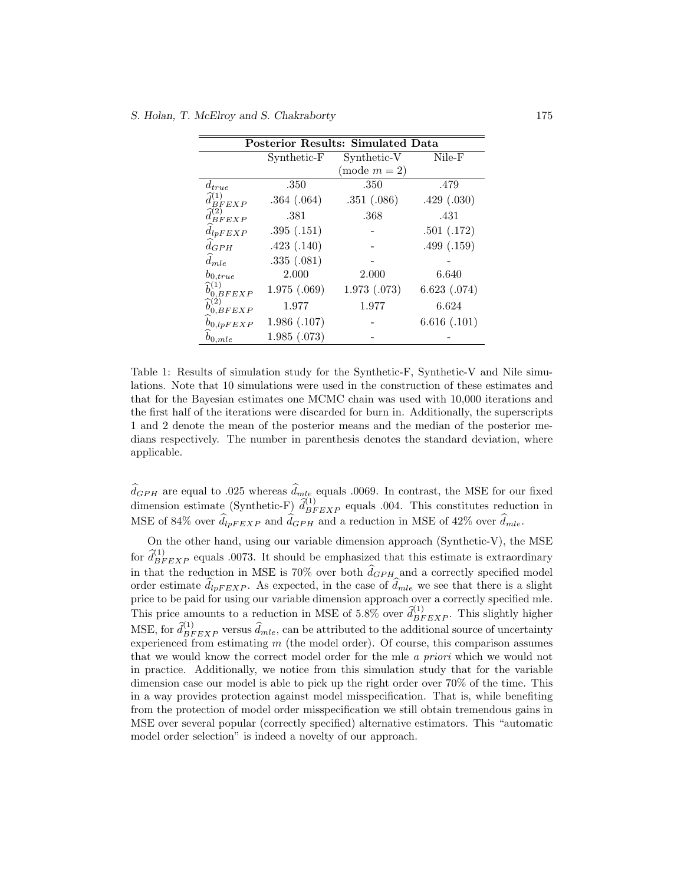| <b>Posterior Results: Simulated Data</b> |              |               |             |  |  |
|------------------------------------------|--------------|---------------|-------------|--|--|
|                                          | Synthetic-F  | Synthetic-V   | Nile-F      |  |  |
|                                          |              | $(mod m = 2)$ |             |  |  |
| $d_{true}$                               | .350         | .350          | .479        |  |  |
| BFEXP                                    | .364(.064)   | .351(.086)    | .429(.030)  |  |  |
| BFEXP                                    | .381         | .368          | .431        |  |  |
| $d_{lpFEXP}$                             | .395(.151)   |               | .501(.172)  |  |  |
| $d_{GPH}$                                | .423(.140)   |               | .499(.159)  |  |  |
| $d_{mle}$                                | .335(.081)   |               |             |  |  |
| $b_{0,true}$                             | 2.000        | 2.000         | 6.640       |  |  |
| $\widehat{b}_{0,BFEXP}^{(1)}$            | 1.975(.069)  | 1.973(0.073)  | 6.623(.074) |  |  |
| $\widehat{b}^{(2)}_{0,BFEXP}$            | 1.977        | 1.977         | 6.624       |  |  |
| $b_{0,lpFEXP}$                           | 1.986(0.107) |               | 6.616(.101) |  |  |
| $b_{0,mle}$                              | 1.985(.073)  |               |             |  |  |

Table 1: Results of simulation study for the Synthetic-F, Synthetic-V and Nile simulations. Note that 10 simulations were used in the construction of these estimates and that for the Bayesian estimates one MCMC chain was used with 10,000 iterations and the first half of the iterations were discarded for burn in. Additionally, the superscripts 1 and 2 denote the mean of the posterior means and the median of the posterior medians respectively. The number in parenthesis denotes the standard deviation, where applicable.

 $\widehat{d}_{GPH}$  are equal to .025 whereas  $\widehat{d}_{mle}$  equals .0069. In contrast, the MSE for our fixed dimension estimate (Synthetic-F)  $\hat{d}_{BFEXP}^{(1)}$  equals .004. This constitutes reduction in MSE of 84% over  $\hat{d}_{lpFEXP}$  and  $\hat{d}_{GPH}$  and a reduction in MSE of 42% over  $\hat{d}_{mle}$ .

On the other hand, using our variable dimension approach (Synthetic-V), the MSE for  $\hat{d}_{BFEXP}^{(1)}$  equals .0073. It should be emphasized that this estimate is extraordinary in that the reduction in MSE is 70% over both  $\hat{d}_{GPH}$  and a correctly specified model order estimate  $\hat{d}_{lpFEXP}$ . As expected, in the case of  $\hat{d}_{mle}$  we see that there is a slight price to be paid for using our variable dimension approach over a correctly specified mle. This price amounts to a reduction in MSE of 5.8% over  $\hat{d}_{BFEXP}^{(1)}$ . This slightly higher MSE, for  $\widehat{d}_{BFEXP}^{(1)}$  versus  $\widehat{d}_{mle}$ , can be attributed to the additional source of uncertainty experienced from estimating m (the model order). Of course, this comparison assumes that we would know the correct model order for the mle a priori which we would not in practice. Additionally, we notice from this simulation study that for the variable dimension case our model is able to pick up the right order over 70% of the time. This in a way provides protection against model misspecification. That is, while benefiting from the protection of model order misspecification we still obtain tremendous gains in MSE over several popular (correctly specified) alternative estimators. This "automatic model order selection" is indeed a novelty of our approach.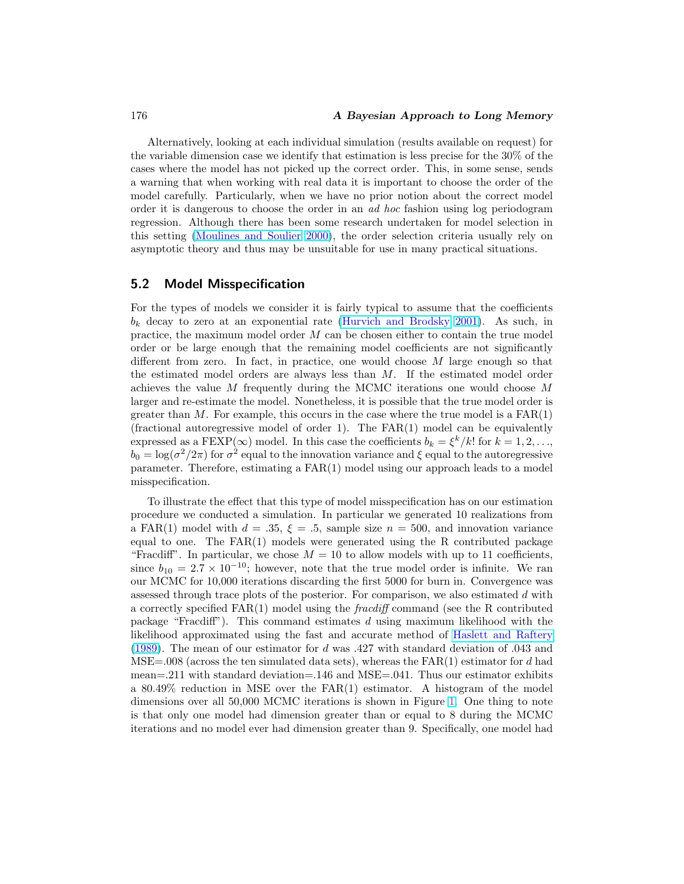Alternatively, looking at each individual simulation (results available on request) for the variable dimension case we identify that estimation is less precise for the 30% of the cases where the model has not picked up the correct order. This, in some sense, sends a warning that when working with real data it is important to choose the order of the model carefully. Particularly, when we have no prior notion about the correct model order it is dangerous to choose the order in an ad hoc fashion using log periodogram regression. Although there has been some research undertaken for model selection in this setting [\(Moulines and Soulier](#page-26-0) [2000\)](#page-26-0), the order selection criteria usually rely on asymptotic theory and thus may be unsuitable for use in many practical situations.

## 5.2 Model Misspecification

For the types of models we consider it is fairly typical to assume that the coefficients  $b_k$  decay to zero at an exponential rate [\(Hurvich and Brodsky](#page-25-0) [2001\)](#page-25-0). As such, in practice, the maximum model order M can be chosen either to contain the true model order or be large enough that the remaining model coefficients are not significantly different from zero. In fact, in practice, one would choose  $M$  large enough so that the estimated model orders are always less than  $M$ . If the estimated model order achieves the value M frequently during the MCMC iterations one would choose M larger and re-estimate the model. Nonetheless, it is possible that the true model order is greater than M. For example, this occurs in the case where the true model is a  $FAR(1)$ (fractional autoregressive model of order 1). The FAR(1) model can be equivalently expressed as a FEXP( $\infty$ ) model. In this case the coefficients  $b_k = \xi^k/k!$  for  $k = 1, 2, \ldots$ ,  $b_0 = \log(\sigma^2/2\pi)$  for  $\sigma^2$  equal to the innovation variance and  $\xi$  equal to the autoregressive parameter. Therefore, estimating a FAR(1) model using our approach leads to a model misspecification.

To illustrate the effect that this type of model misspecification has on our estimation procedure we conducted a simulation. In particular we generated 10 realizations from a FAR(1) model with  $d = .35$ ,  $\xi = .5$ , sample size  $n = 500$ , and innovation variance equal to one. The  $FAR(1)$  models were generated using the R contributed package "Fracdiff". In particular, we chose  $M = 10$  to allow models with up to 11 coefficients, since  $b_{10} = 2.7 \times 10^{-10}$ ; however, note that the true model order is infinite. We ran our MCMC for 10,000 iterations discarding the first 5000 for burn in. Convergence was assessed through trace plots of the posterior. For comparison, we also estimated d with a correctly specified  $FAR(1)$  model using the *fracdiff* command (see the R contributed package "Fracdiff"). This command estimates d using maximum likelihood with the likelihood approximated using the fast and accurate method of [Haslett and Raftery](#page-25-0) [\(1989\)](#page-25-0). The mean of our estimator for d was .427 with standard deviation of .043 and  $MSE=.008$  (across the ten simulated data sets), whereas the  $FAR(1)$  estimator for d had mean=.211 with standard deviation=.146 and MSE=.041. Thus our estimator exhibits a 80.49% reduction in MSE over the FAR(1) estimator. A histogram of the model dimensions over all 50,000 MCMC iterations is shown in Figure [1.](#page-18-0) One thing to note is that only one model had dimension greater than or equal to 8 during the MCMC iterations and no model ever had dimension greater than 9. Specifically, one model had

<span id="page-17-0"></span>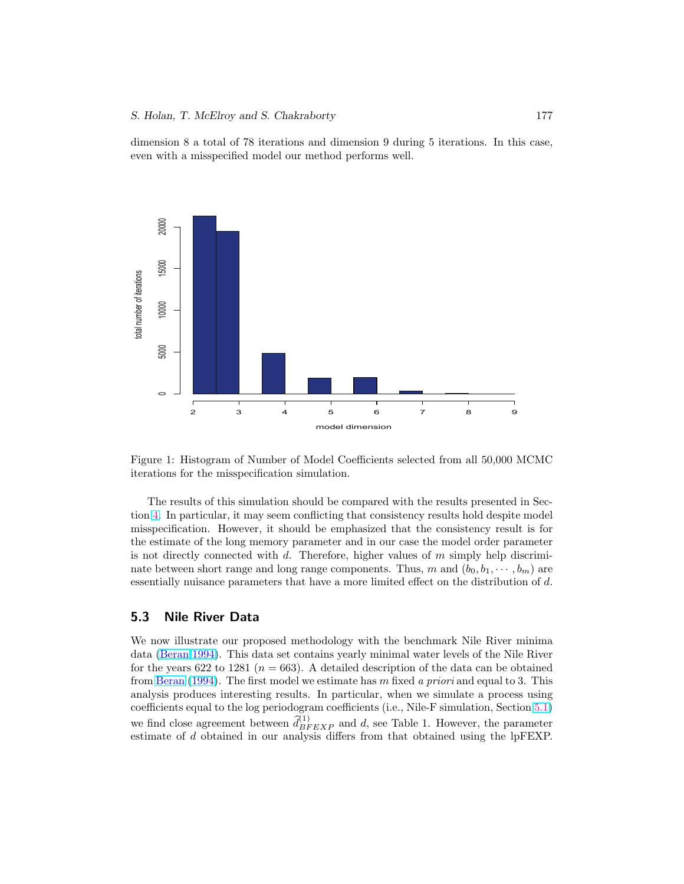<span id="page-18-0"></span>dimension 8 a total of 78 iterations and dimension 9 during 5 iterations. In this case, even with a misspecified model our method performs well.





The results of this simulation should be compared with the results presented in Section [4.](#page-13-0) In particular, it may seem conflicting that consistency results hold despite model misspecification. However, it should be emphasized that the consistency result is for the estimate of the long memory parameter and in our case the model order parameter is not directly connected with  $d$ . Therefore, higher values of  $m$  simply help discriminate between short range and long range components. Thus, m and  $(b_0, b_1, \dots, b_m)$  are essentially nuisance parameters that have a more limited effect on the distribution of d.

## 5.3 Nile River Data

We now illustrate our proposed methodology with the benchmark Nile River minima data [\(Beran](#page-24-0) [1994\)](#page-24-0). This data set contains yearly minimal water levels of the Nile River for the years 622 to 1281 ( $n = 663$ ). A detailed description of the data can be obtained from [Beran](#page-24-0) [\(1994\)](#page-24-0). The first model we estimate has m fixed a priori and equal to 3. This analysis produces interesting results. In particular, when we simulate a process using coefficients equal to the log periodogram coefficients (i.e., Nile-F simulation, Section [5.1\)](#page-14-0) we find close agreement between  $\hat{d}_{BFEXP}^{(1)}$  and d, see Table 1. However, the parameter estimate of d obtained in our analysis differs from that obtained using the lpFEXP.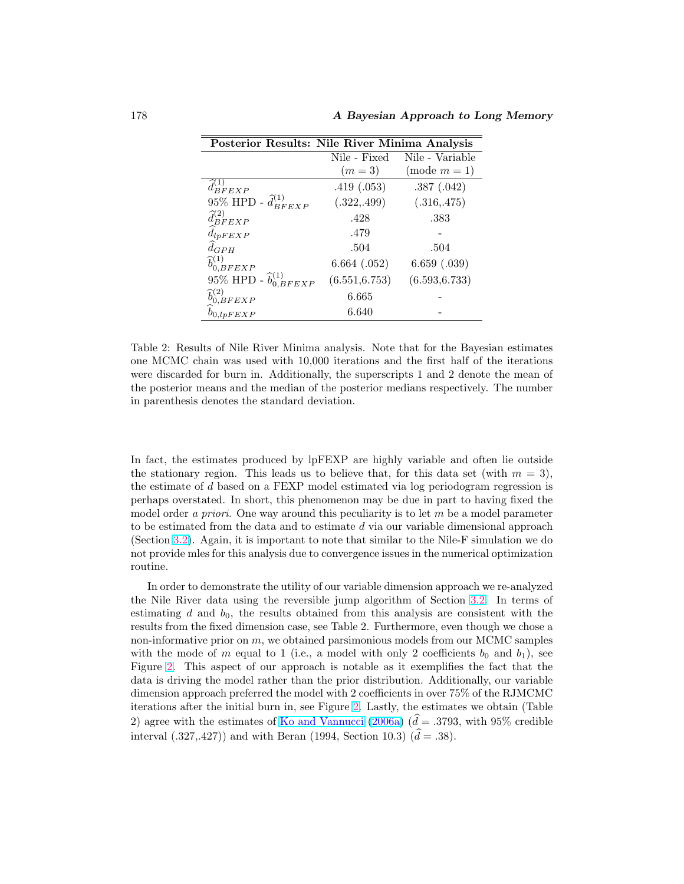<span id="page-19-0"></span>178 A Bayesian Approach to Long Memory

|                                     | Posterior Results: Nile River Minima Analysis |                 |  |
|-------------------------------------|-----------------------------------------------|-----------------|--|
|                                     | Nile - Fixed                                  | Nile - Variable |  |
|                                     | $(m=3)$                                       | $(mod m = 1)$   |  |
| $d_{BFEXP}^{(1)}$                   | .419(.053)                                    | .387(.042)      |  |
| 95% HPD - $\hat{d}_{BFEXP}^{(1)}$   | (.322, .499)                                  | (.316, .475)    |  |
| $\hat{d}_{BFEXP}^{(2)}$             | .428                                          | .383            |  |
| $d_{lpFEXP}$                        | .479                                          |                 |  |
| $d_{GPH}$                           | .504                                          | .504            |  |
| $\widehat{b}^{(1)}_{0,BFEXP}$       | $6.664$ $(.052)$                              | 6.659(.039)     |  |
| 95% HPD - $\hat{b}_{0,BFEXP}^{(1)}$ | (6.551, 6.753)                                | (6.593, 6.733)  |  |
| $\hat{b}_{0,BFEXP}^{(2)}$           | 6.665                                         |                 |  |
| $b_{0,lpFEXP}$                      | 6.640                                         |                 |  |

Table 2: Results of Nile River Minima analysis. Note that for the Bayesian estimates one MCMC chain was used with 10,000 iterations and the first half of the iterations were discarded for burn in. Additionally, the superscripts 1 and 2 denote the mean of the posterior means and the median of the posterior medians respectively. The number in parenthesis denotes the standard deviation.

In fact, the estimates produced by lpFEXP are highly variable and often lie outside the stationary region. This leads us to believe that, for this data set (with  $m = 3$ ), the estimate of d based on a FEXP model estimated via log periodogram regression is perhaps overstated. In short, this phenomenon may be due in part to having fixed the model order a priori. One way around this peculiarity is to let  $m$  be a model parameter to be estimated from the data and to estimate  $d$  via our variable dimensional approach (Section [3.2\)](#page-10-0). Again, it is important to note that similar to the Nile-F simulation we do not provide mles for this analysis due to convergence issues in the numerical optimization routine.

In order to demonstrate the utility of our variable dimension approach we re-analyzed the Nile River data using the reversible jump algorithm of Section [3.2.](#page-10-0) In terms of estimating  $d$  and  $b_0$ , the results obtained from this analysis are consistent with the results from the fixed dimension case, see Table 2. Furthermore, even though we chose a non-informative prior on  $m$ , we obtained parsimonious models from our MCMC samples with the mode of m equal to 1 (i.e., a model with only 2 coefficients  $b_0$  and  $b_1$ ), see Figure [2.](#page-20-0) This aspect of our approach is notable as it exemplifies the fact that the data is driving the model rather than the prior distribution. Additionally, our variable dimension approach preferred the model with 2 coefficients in over 75% of the RJMCMC iterations after the initial burn in, see Figure [2.](#page-20-0) Lastly, the estimates we obtain (Table 2) agree with the estimates of [Ko and Vannucci](#page-26-0) [\(2006a\)](#page-26-0)  $(\hat{d} = .3793, \text{ with } 95\% \text{ credible})$ interval (.327,.427)) and with Beran (1994, Section 10.3)  $(\hat{d} = .38)$ .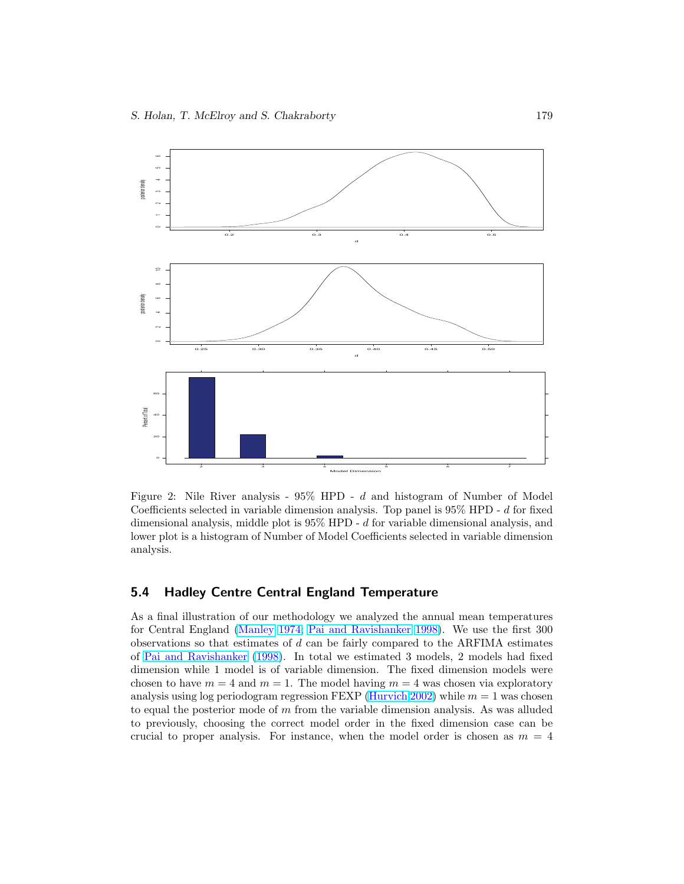<span id="page-20-0"></span>

Figure 2: Nile River analysis -  $95\%$  HPD - d and histogram of Number of Model Coefficients selected in variable dimension analysis. Top panel is 95% HPD - d for fixed dimensional analysis, middle plot is  $95\%$  HPD - d for variable dimensional analysis, and lower plot is a histogram of Number of Model Coefficients selected in variable dimension analysis.

# 5.4 Hadley Centre Central England Temperature

As a final illustration of our methodology we analyzed the annual mean temperatures for Central England [\(Manley](#page-26-0) [1974;](#page-26-0) [Pai and Ravishanker](#page-26-0) [1998\)](#page-26-0). We use the first 300 observations so that estimates of  $d$  can be fairly compared to the ARFIMA estimates of [Pai and Ravishanker](#page-26-0) [\(1998\)](#page-26-0). In total we estimated 3 models, 2 models had fixed dimension while 1 model is of variable dimension. The fixed dimension models were chosen to have  $m = 4$  and  $m = 1$ . The model having  $m = 4$  was chosen via exploratory analysis using log periodogram regression FEXP [\(Hurvich](#page-25-0) [2002\)](#page-25-0) while  $m = 1$  was chosen to equal the posterior mode of  $m$  from the variable dimension analysis. As was alluded to previously, choosing the correct model order in the fixed dimension case can be crucial to proper analysis. For instance, when the model order is chosen as  $m = 4$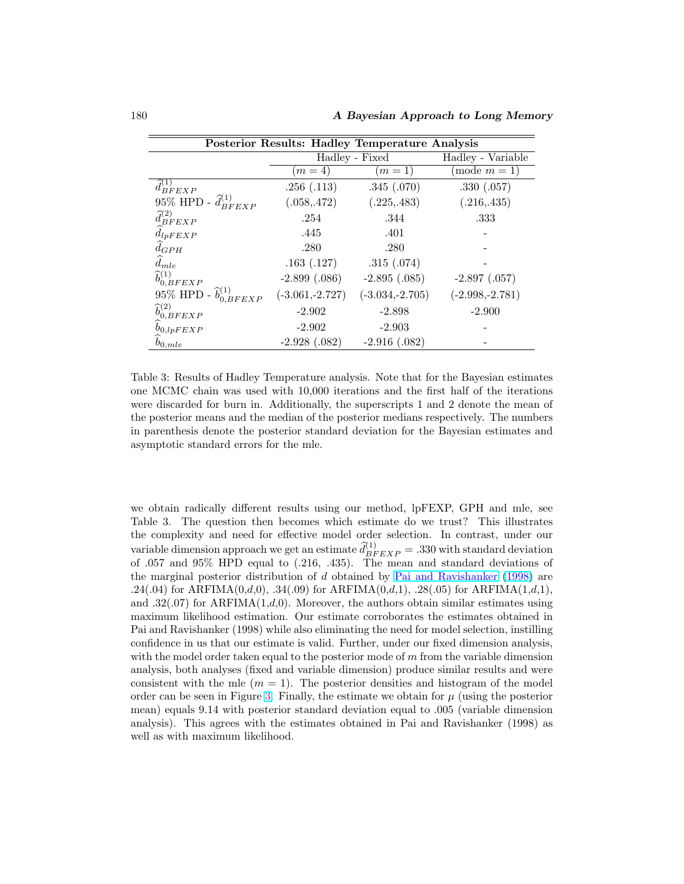<span id="page-21-0"></span>

| Posterior Results: Hadley Temperature Analysis |                   |                   |                                |  |  |
|------------------------------------------------|-------------------|-------------------|--------------------------------|--|--|
|                                                | Hadley - Fixed    |                   | Hadley - Variable              |  |  |
|                                                | $(m=4)$           | $(m=1)$           | $\overline{\text{mode}} m = 1$ |  |  |
| $\widehat{d}_{BFEXP}^{(1)}$                    | .256(.113)        | .345(.070)        | .330(.057)                     |  |  |
| 95% HPD - $\hat{d}_{BFEXP}^{(1)}$              | (.058, .472)      | (.225, .483)      | (.216, .435)                   |  |  |
| $\hat{d}_{BFEXP}^{(2)}$                        | .254              | .344              | .333                           |  |  |
| $d_{lpFEXP}$                                   | .445              | .401              |                                |  |  |
| $d_{GPH}$                                      | .280              | .280              |                                |  |  |
| $\hat{d}_{mle}$                                | .163(.127)        | .315(.074)        |                                |  |  |
| $\hat{b}_{0,BFEXP}^{(1)}$                      | $-2.899(.086)$    | $-2.895(.085)$    | $-2.897(0.057)$                |  |  |
| 95% HPD - $\hat{b}_{0,BFEXP}^{(1)}$            | $(-3.061,-2.727)$ | $(-3.034,-2.705)$ | $(-2.998,-2.781)$              |  |  |
| $\hat{b}_{0,BFEXP}^{(2)}$                      | $-2.902$          | $-2.898$          | $-2.900$                       |  |  |
| $b_{0, lpFEXP}$                                | $-2.902$          | $-2.903$          |                                |  |  |
| $b_{0,mle}$                                    | $-2.928(.082)$    | $-2.916(.082)$    |                                |  |  |

Table 3: Results of Hadley Temperature analysis. Note that for the Bayesian estimates one MCMC chain was used with 10,000 iterations and the first half of the iterations were discarded for burn in. Additionally, the superscripts 1 and 2 denote the mean of the posterior means and the median of the posterior medians respectively. The numbers in parenthesis denote the posterior standard deviation for the Bayesian estimates and asymptotic standard errors for the mle.

we obtain radically different results using our method, lpFEXP, GPH and mle, see Table 3. The question then becomes which estimate do we trust? This illustrates the complexity and need for effective model order selection. In contrast, under our variable dimension approach we get an estimate  $\hat{d}_{BFEXP}^{(1)} = .330$  with standard deviation of .057 and 95% HPD equal to (.216, .435). The mean and standard deviations of the marginal posterior distribution of d obtained by [Pai and Ravishanker](#page-26-0) [\(1998\)](#page-26-0) are .24(.04) for ARFIMA $(0,d,0)$ , .34(.09) for ARFIMA $(0,d,1)$ , .28(.05) for ARFIMA $(1,d,1)$ , and .32(.07) for ARFIMA(1,d,0). Moreover, the authors obtain similar estimates using maximum likelihood estimation. Our estimate corroborates the estimates obtained in Pai and Ravishanker (1998) while also eliminating the need for model selection, instilling confidence in us that our estimate is valid. Further, under our fixed dimension analysis, with the model order taken equal to the posterior mode of  $m$  from the variable dimension analysis, both analyses (fixed and variable dimension) produce similar results and were consistent with the mle  $(m = 1)$ . The posterior densities and histogram of the model order can be seen in Figure [3.](#page-22-0) Finally, the estimate we obtain for  $\mu$  (using the posterior mean) equals 9.14 with posterior standard deviation equal to .005 (variable dimension analysis). This agrees with the estimates obtained in Pai and Ravishanker (1998) as well as with maximum likelihood.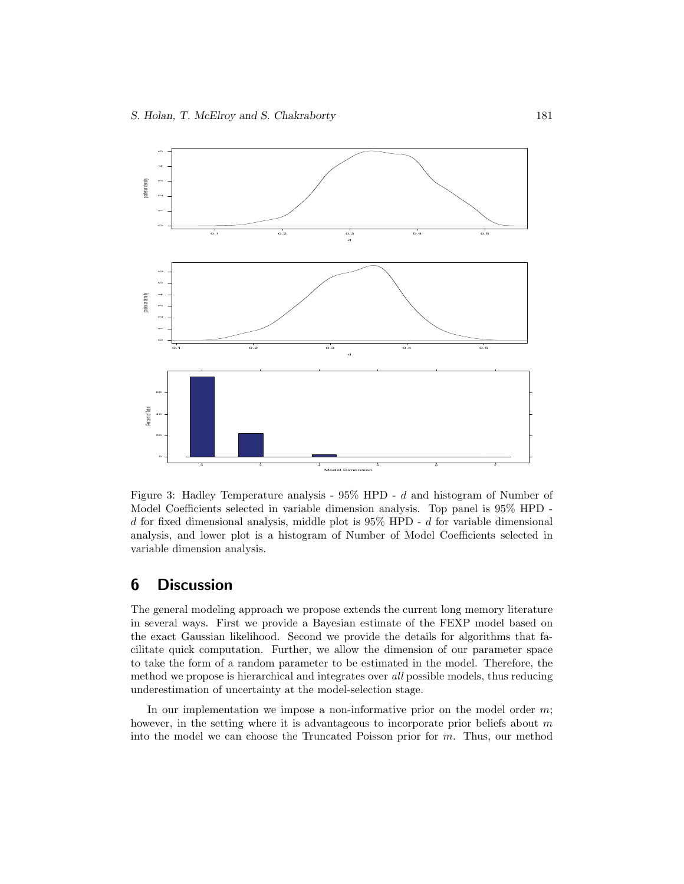<span id="page-22-0"></span>

Figure 3: Hadley Temperature analysis - 95% HPD - d and histogram of Number of Model Coefficients selected in variable dimension analysis. Top panel is 95% HPD  $d$  for fixed dimensional analysis, middle plot is 95% HPD -  $d$  for variable dimensional analysis, and lower plot is a histogram of Number of Model Coefficients selected in variable dimension analysis.

# 6 Discussion

The general modeling approach we propose extends the current long memory literature in several ways. First we provide a Bayesian estimate of the FEXP model based on the exact Gaussian likelihood. Second we provide the details for algorithms that facilitate quick computation. Further, we allow the dimension of our parameter space to take the form of a random parameter to be estimated in the model. Therefore, the method we propose is hierarchical and integrates over all possible models, thus reducing underestimation of uncertainty at the model-selection stage.

In our implementation we impose a non-informative prior on the model order  $m$ ; however, in the setting where it is advantageous to incorporate prior beliefs about  $m$ into the model we can choose the Truncated Poisson prior for m. Thus, our method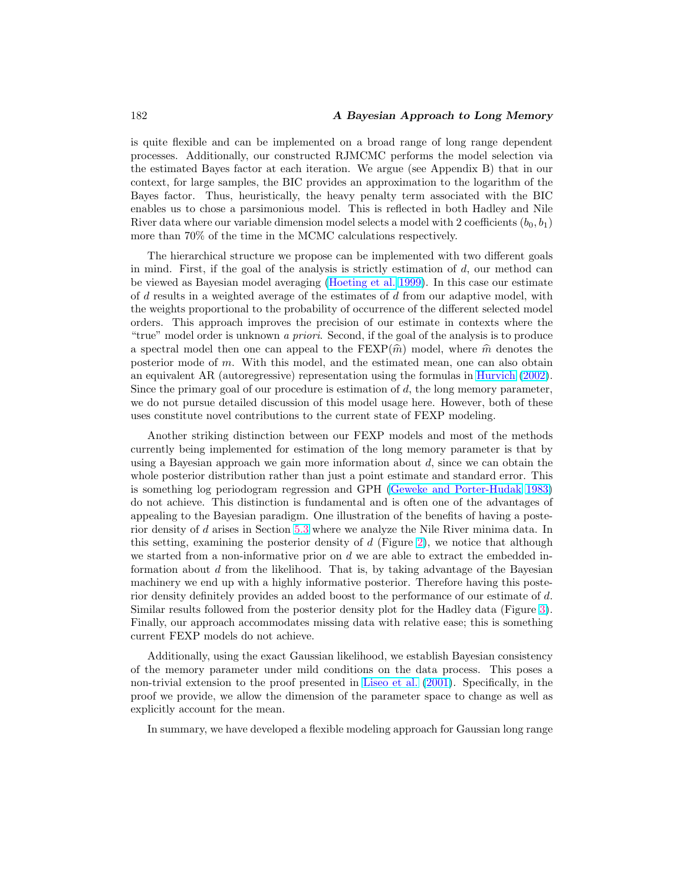#### <span id="page-23-0"></span>182 **A Bayesian Approach to Long Memory**

is quite flexible and can be implemented on a broad range of long range dependent processes. Additionally, our constructed RJMCMC performs the model selection via the estimated Bayes factor at each iteration. We argue (see Appendix B) that in our context, for large samples, the BIC provides an approximation to the logarithm of the Bayes factor. Thus, heuristically, the heavy penalty term associated with the BIC enables us to chose a parsimonious model. This is reflected in both Hadley and Nile River data where our variable dimension model selects a model with 2 coefficients  $(b_0, b_1)$ more than 70% of the time in the MCMC calculations respectively.

The hierarchical structure we propose can be implemented with two different goals in mind. First, if the goal of the analysis is strictly estimation of  $d$ , our method can be viewed as Bayesian model averaging [\(Hoeting et al.](#page-25-0) [1999\)](#page-25-0). In this case our estimate of d results in a weighted average of the estimates of d from our adaptive model, with the weights proportional to the probability of occurrence of the different selected model orders. This approach improves the precision of our estimate in contexts where the "true" model order is unknown a priori. Second, if the goal of the analysis is to produce a spectral model then one can appeal to the FEXP $(\hat{m})$  model, where  $\hat{m}$  denotes the posterior mode of m. With this model, and the estimated mean, one can also obtain an equivalent AR (autoregressive) representation using the formulas in [Hurvich](#page-25-0) [\(2002\)](#page-25-0). Since the primary goal of our procedure is estimation of  $d$ , the long memory parameter, we do not pursue detailed discussion of this model usage here. However, both of these uses constitute novel contributions to the current state of FEXP modeling.

Another striking distinction between our FEXP models and most of the methods currently being implemented for estimation of the long memory parameter is that by using a Bayesian approach we gain more information about  $d$ , since we can obtain the whole posterior distribution rather than just a point estimate and standard error. This is something log periodogram regression and GPH [\(Geweke and Porter-Hudak](#page-25-0) [1983\)](#page-25-0) do not achieve. This distinction is fundamental and is often one of the advantages of appealing to the Bayesian paradigm. One illustration of the benefits of having a posterior density of d arises in Section [5.3](#page-18-0) where we analyze the Nile River minima data. In this setting, examining the posterior density of  $d$  (Figure [2\)](#page-20-0), we notice that although we started from a non-informative prior on  $d$  we are able to extract the embedded information about d from the likelihood. That is, by taking advantage of the Bayesian machinery we end up with a highly informative posterior. Therefore having this posterior density definitely provides an added boost to the performance of our estimate of d. Similar results followed from the posterior density plot for the Hadley data (Figure [3\)](#page-22-0). Finally, our approach accommodates missing data with relative ease; this is something current FEXP models do not achieve.

Additionally, using the exact Gaussian likelihood, we establish Bayesian consistency of the memory parameter under mild conditions on the data process. This poses a non-trivial extension to the proof presented in [Liseo et al.](#page-26-0) [\(2001\)](#page-26-0). Specifically, in the proof we provide, we allow the dimension of the parameter space to change as well as explicitly account for the mean.

In summary, we have developed a flexible modeling approach for Gaussian long range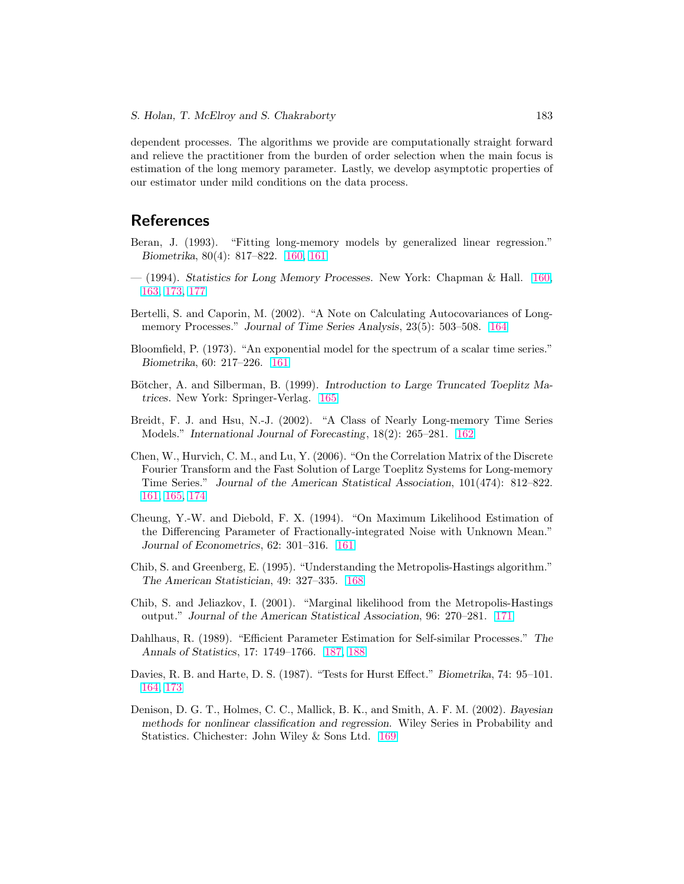<span id="page-24-0"></span>dependent processes. The algorithms we provide are computationally straight forward and relieve the practitioner from the burden of order selection when the main focus is estimation of the long memory parameter. Lastly, we develop asymptotic properties of our estimator under mild conditions on the data process.

# **References**

- Beran, J. (1993). "Fitting long-memory models by generalized linear regression." Biometrika, 80(4): 817–822. [160,](#page-1-0) [161](#page-2-0)
- $-$  (1994). Statistics for Long Memory Processes. New York: Chapman & Hall. [160,](#page-1-0) [163,](#page-4-0) [173,](#page-14-0) [177](#page-18-0)
- Bertelli, S. and Caporin, M. (2002). "A Note on Calculating Autocovariances of Longmemory Processes." Journal of Time Series Analysis, 23(5): 503–508. [164](#page-5-0)
- Bloomfield, P. (1973). "An exponential model for the spectrum of a scalar time series." Biometrika, 60: 217–226. [161](#page-2-0)
- Bötcher, A. and Silberman, B. (1999). Introduction to Large Truncated Toeplitz Matrices. New York: Springer-Verlag. 165
- Breidt, F. J. and Hsu, N.-J. (2002). "A Class of Nearly Long-memory Time Series Models." International Journal of Forecasting, 18(2): 265–281. [162](#page-3-0)
- Chen, W., Hurvich, C. M., and Lu, Y. (2006). "On the Correlation Matrix of the Discrete Fourier Transform and the Fast Solution of Large Toeplitz Systems for Long-memory Time Series." Journal of the American Statistical Association, 101(474): 812–822. [161,](#page-2-0) 165, [174](#page-15-0)
- Cheung, Y.-W. and Diebold, F. X. (1994). "On Maximum Likelihood Estimation of the Differencing Parameter of Fractionally-integrated Noise with Unknown Mean." Journal of Econometrics, 62: 301–316. [161](#page-2-0)
- Chib, S. and Greenberg, E. (1995). "Understanding the Metropolis-Hastings algorithm." The American Statistician, 49: 327–335. [168](#page-9-0)
- Chib, S. and Jeliazkov, I. (2001). "Marginal likelihood from the Metropolis-Hastings output." Journal of the American Statistical Association, 96: 270–281. [171](#page-12-0)
- Dahlhaus, R. (1989). "Efficient Parameter Estimation for Self-similar Processes." The Annals of Statistics, 17: 1749–1766. [187,](#page-28-0) [188](#page-29-0)
- Davies, R. B. and Harte, D. S. (1987). "Tests for Hurst Effect." Biometrika, 74: 95–101. [164,](#page-5-0) [173](#page-14-0)
- Denison, D. G. T., Holmes, C. C., Mallick, B. K., and Smith, A. F. M. (2002). Bayesian methods for nonlinear classification and regression. Wiley Series in Probability and Statistics. Chichester: John Wiley & Sons Ltd. [169](#page-10-0)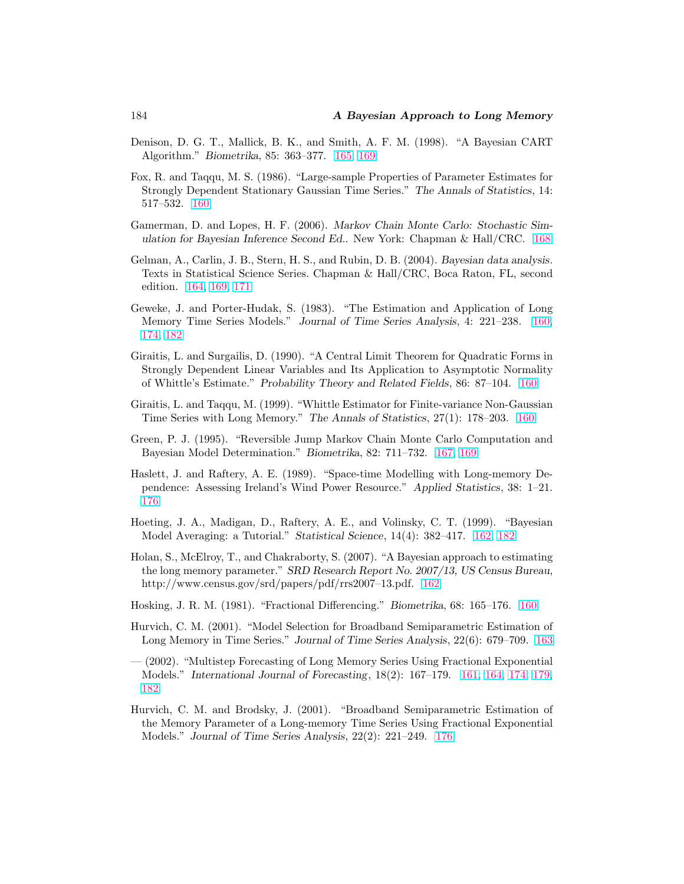- <span id="page-25-0"></span>Denison, D. G. T., Mallick, B. K., and Smith, A. F. M. (1998). "A Bayesian CART Algorithm." Biometrika, 85: 363–377. 165, [169](#page-10-0)
- Fox, R. and Taqqu, M. S. (1986). "Large-sample Properties of Parameter Estimates for Strongly Dependent Stationary Gaussian Time Series." The Annals of Statistics, 14: 517–532. [160](#page-1-0)
- Gamerman, D. and Lopes, H. F. (2006). Markov Chain Monte Carlo: Stochastic Simulation for Bayesian Inference Second Ed.. New York: Chapman & Hall/CRC. [168](#page-9-0)
- Gelman, A., Carlin, J. B., Stern, H. S., and Rubin, D. B. (2004). Bayesian data analysis. Texts in Statistical Science Series. Chapman & Hall/CRC, Boca Raton, FL, second edition. [164,](#page-5-0) [169,](#page-10-0) [171](#page-12-0)
- Geweke, J. and Porter-Hudak, S. (1983). "The Estimation and Application of Long Memory Time Series Models." Journal of Time Series Analysis, 4: 221–238. [160,](#page-1-0) [174,](#page-15-0) [182](#page-23-0)
- Giraitis, L. and Surgailis, D. (1990). "A Central Limit Theorem for Quadratic Forms in Strongly Dependent Linear Variables and Its Application to Asymptotic Normality of Whittle's Estimate." Probability Theory and Related Fields, 86: 87–104. [160](#page-1-0)
- Giraitis, L. and Taqqu, M. (1999). "Whittle Estimator for Finite-variance Non-Gaussian Time Series with Long Memory." The Annals of Statistics, 27(1): 178–203. [160](#page-1-0)
- Green, P. J. (1995). "Reversible Jump Markov Chain Monte Carlo Computation and Bayesian Model Determination." Biometrika, 82: 711–732. [167,](#page-8-0) [169](#page-10-0)
- Haslett, J. and Raftery, A. E. (1989). "Space-time Modelling with Long-memory Dependence: Assessing Ireland's Wind Power Resource." Applied Statistics, 38: 1–21. [176](#page-17-0)
- Hoeting, J. A., Madigan, D., Raftery, A. E., and Volinsky, C. T. (1999). "Bayesian Model Averaging: a Tutorial." Statistical Science, 14(4): 382–417. [162,](#page-3-0) [182](#page-23-0)
- Holan, S., McElroy, T., and Chakraborty, S. (2007). "A Bayesian approach to estimating the long memory parameter." SRD Research Report No. 2007/13, US Census Bureau, http://www.census.gov/srd/papers/pdf/rrs2007–13.pdf. [162](#page-3-0)
- Hosking, J. R. M. (1981). "Fractional Differencing." Biometrika, 68: 165–176. [160](#page-1-0)
- Hurvich, C. M. (2001). "Model Selection for Broadband Semiparametric Estimation of Long Memory in Time Series." Journal of Time Series Analysis, 22(6): 679–709. [163](#page-4-0)
- (2002). "Multistep Forecasting of Long Memory Series Using Fractional Exponential Models." International Journal of Forecasting, 18(2): 167–179. [161,](#page-2-0) [164,](#page-5-0) [174,](#page-15-0) [179,](#page-20-0) [182](#page-23-0)
- Hurvich, C. M. and Brodsky, J. (2001). "Broadband Semiparametric Estimation of the Memory Parameter of a Long-memory Time Series Using Fractional Exponential Models." Journal of Time Series Analysis, 22(2): 221–249. [176](#page-17-0)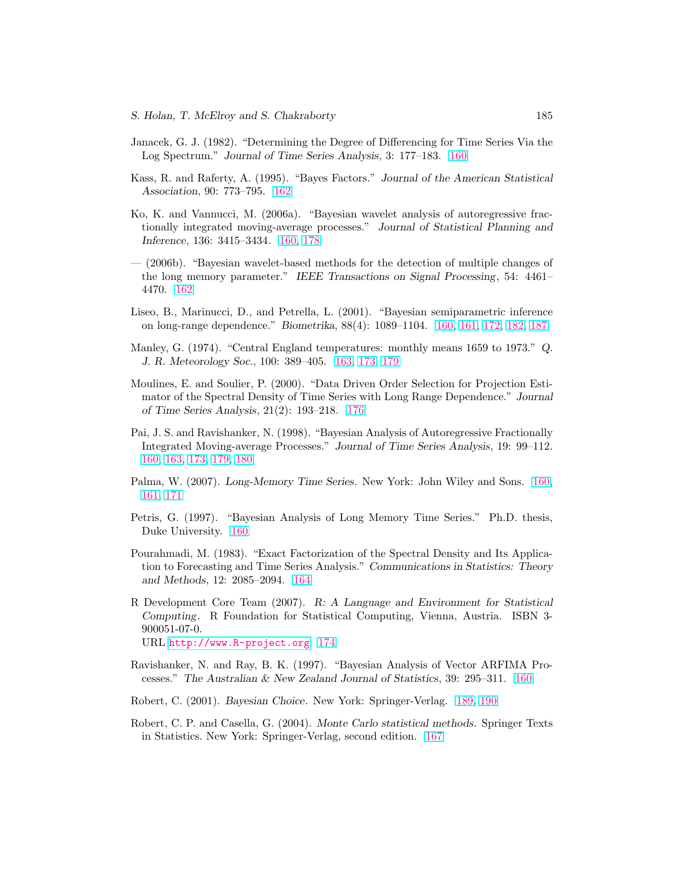- <span id="page-26-0"></span>Janacek, G. J. (1982). "Determining the Degree of Differencing for Time Series Via the Log Spectrum." Journal of Time Series Analysis, 3: 177–183. [160](#page-1-0)
- Kass, R. and Raferty, A. (1995). "Bayes Factors." Journal of the American Statistical Association, 90: 773–795. [162](#page-3-0)
- Ko, K. and Vannucci, M. (2006a). "Bayesian wavelet analysis of autoregressive fractionally integrated moving-average processes." Journal of Statistical Planning and Inference, 136: 3415–3434. [160,](#page-1-0) [178](#page-19-0)
- (2006b). "Bayesian wavelet-based methods for the detection of multiple changes of the long memory parameter." IEEE Transactions on Signal Processing, 54: 4461– 4470. [162](#page-3-0)
- Liseo, B., Marinucci, D., and Petrella, L. (2001). "Bayesian semiparametric inference on long-range dependence." Biometrika, 88(4): 1089–1104. [160,](#page-1-0) [161,](#page-2-0) [172,](#page-13-0) [182,](#page-23-0) [187](#page-28-0)
- Manley, G. (1974). "Central England temperatures: monthly means 1659 to 1973." Q. J. R. Meteorology Soc., 100: 389–405. [163,](#page-4-0) [173,](#page-14-0) [179](#page-20-0)
- Moulines, E. and Soulier, P. (2000). "Data Driven Order Selection for Projection Estimator of the Spectral Density of Time Series with Long Range Dependence." Journal of Time Series Analysis, 21(2): 193–218. [176](#page-17-0)
- Pai, J. S. and Ravishanker, N. (1998). "Bayesian Analysis of Autoregressive Fractionally Integrated Moving-average Processes." Journal of Time Series Analysis, 19: 99–112. [160,](#page-1-0) [163,](#page-4-0) [173,](#page-14-0) [179,](#page-20-0) [180](#page-21-0)
- Palma, W. (2007). Long-Memory Time Series. New York: John Wiley and Sons. [160,](#page-1-0) [161,](#page-2-0) [171](#page-12-0)
- Petris, G. (1997). "Bayesian Analysis of Long Memory Time Series." Ph.D. thesis, Duke University. [160](#page-1-0)
- Pourahmadi, M. (1983). "Exact Factorization of the Spectral Density and Its Application to Forecasting and Time Series Analysis." Communications in Statistics: Theory and Methods, 12: 2085–2094. [164](#page-5-0)
- R Development Core Team (2007). R: A Language and Environment for Statistical Computing. R Foundation for Statistical Computing, Vienna, Austria. ISBN 3- 900051-07-0. URL <http://www.R-project.org> [174](#page-15-0)
- Ravishanker, N. and Ray, B. K. (1997). "Bayesian Analysis of Vector ARFIMA Processes." The Australian & New Zealand Journal of Statistics, 39: 295–311. [160](#page-1-0)
- Robert, C. (2001). Bayesian Choice. New York: Springer-Verlag. [189,](#page-30-0) [190](#page-31-0)
- Robert, C. P. and Casella, G. (2004). Monte Carlo statistical methods. Springer Texts in Statistics. New York: Springer-Verlag, second edition. [167](#page-8-0)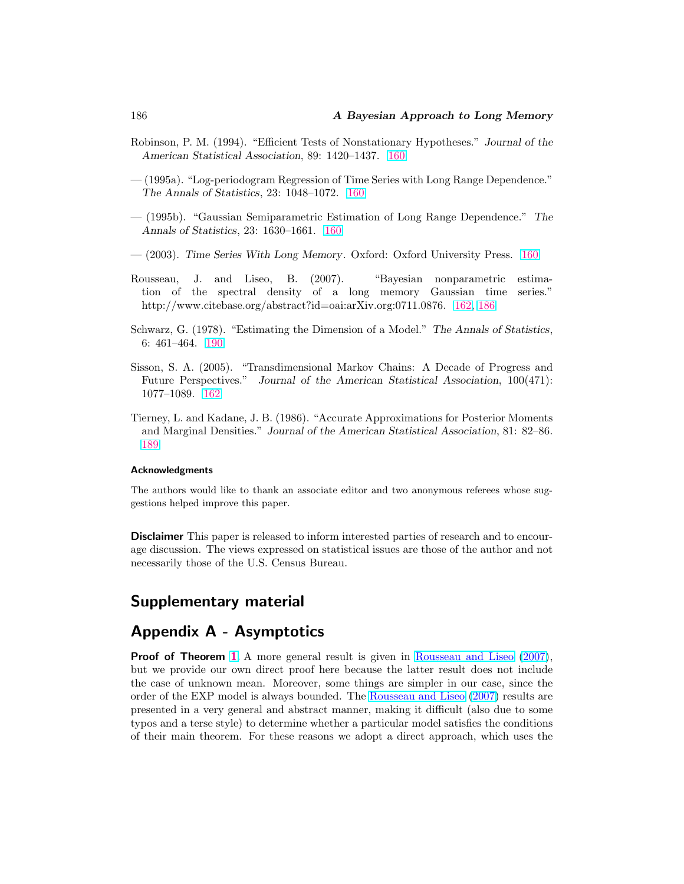- <span id="page-27-0"></span>Robinson, P. M. (1994). "Efficient Tests of Nonstationary Hypotheses." Journal of the American Statistical Association, 89: 1420–1437. [160](#page-1-0)
- (1995a). "Log-periodogram Regression of Time Series with Long Range Dependence." The Annals of Statistics, 23: 1048–1072. [160](#page-1-0)
- (1995b). "Gaussian Semiparametric Estimation of Long Range Dependence." The Annals of Statistics, 23: 1630–1661. [160](#page-1-0)
- (2003). Time Series With Long Memory. Oxford: Oxford University Press. [160](#page-1-0)
- Rousseau, J. and Liseo, B. (2007). "Bayesian nonparametric estimation of the spectral density of a long memory Gaussian time series." http://www.citebase.org/abstract?id=oai:arXiv.org:0711.0876. [162,](#page-3-0) 186
- Schwarz, G. (1978). "Estimating the Dimension of a Model." The Annals of Statistics, 6: 461–464. [190](#page-31-0)
- Sisson, S. A. (2005). "Transdimensional Markov Chains: A Decade of Progress and Future Perspectives." Journal of the American Statistical Association, 100(471): 1077–1089. [162](#page-3-0)
- Tierney, L. and Kadane, J. B. (1986). "Accurate Approximations for Posterior Moments and Marginal Densities." Journal of the American Statistical Association, 81: 82–86. [189](#page-30-0)

#### Acknowledgments

The authors would like to thank an associate editor and two anonymous referees whose suggestions helped improve this paper.

**Disclaimer** This paper is released to inform interested parties of research and to encourage discussion. The views expressed on statistical issues are those of the author and not necessarily those of the U.S. Census Bureau.

# Supplementary material

# Appendix A - Asymptotics

**Proof of Theorem [1.](#page-13-0)** A more general result is given in Rousseau and Liseo (2007), but we provide our own direct proof here because the latter result does not include the case of unknown mean. Moreover, some things are simpler in our case, since the order of the EXP model is always bounded. The Rousseau and Liseo (2007) results are presented in a very general and abstract manner, making it difficult (also due to some typos and a terse style) to determine whether a particular model satisfies the conditions of their main theorem. For these reasons we adopt a direct approach, which uses the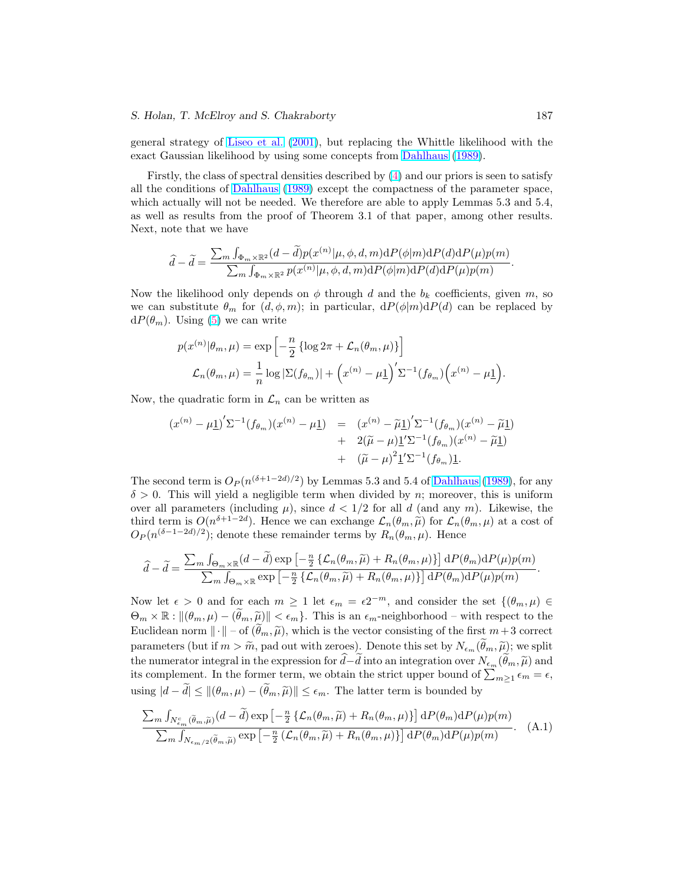#### <span id="page-28-0"></span>S. Holan, T. McElroy and S. Chakraborty 187

general strategy of [Liseo et al.](#page-26-0) [\(2001\)](#page-26-0), but replacing the Whittle likelihood with the exact Gaussian likelihood by using some concepts from [Dahlhaus](#page-24-0) [\(1989\)](#page-24-0).

Firstly, the class of spectral densities described by [\(4\)](#page-4-0) and our priors is seen to satisfy all the conditions of [Dahlhaus](#page-24-0) [\(1989\)](#page-24-0) except the compactness of the parameter space, which actually will not be needed. We therefore are able to apply Lemmas 5.3 and 5.4, as well as results from the proof of Theorem 3.1 of that paper, among other results. Next, note that we have

$$
\widehat{d} - \widetilde{d} = \frac{\sum_{m} \int_{\Phi_m \times \mathbb{R}^2} (d - \widetilde{d}) p(x^{(n)} | \mu, \phi, d, m) \mathrm{d}P(\phi | m) \mathrm{d}P(d) \mathrm{d}P(\mu) p(m)}{\sum_{m} \int_{\Phi_m \times \mathbb{R}^2} p(x^{(n)} | \mu, \phi, d, m) \mathrm{d}P(\phi | m) \mathrm{d}P(d) \mathrm{d}P(\mu) p(m)}.
$$

Now the likelihood only depends on  $\phi$  through d and the  $b_k$  coefficients, given m, so we can substitute  $\theta_m$  for  $(d, \phi, m)$ ; in particular,  $dP(\phi|m)dP(d)$  can be replaced by  $dP(\theta_m)$ . Using [\(5\)](#page-4-0) we can write

$$
p(x^{(n)}|\theta_m, \mu) = \exp\left[-\frac{n}{2} \left\{\log 2\pi + \mathcal{L}_n(\theta_m, \mu)\right\}\right]
$$

$$
\mathcal{L}_n(\theta_m, \mu) = \frac{1}{n} \log|\Sigma(f_{\theta_m})| + \left(x^{(n)} - \mu\right)^{\prime} \Sigma^{-1} (f_{\theta_m}) \left(x^{(n)} - \mu\right).
$$

Now, the quadratic form in  $\mathcal{L}_n$  can be written as

$$
(x^{(n)} - \mu \underline{1})' \Sigma^{-1} (f_{\theta_m}) (x^{(n)} - \mu \underline{1}) = (x^{(n)} - \widetilde{\mu} \underline{1})' \Sigma^{-1} (f_{\theta_m}) (x^{(n)} - \widetilde{\mu} \underline{1})
$$
  
+  $2(\widetilde{\mu} - \mu) \underline{1}' \Sigma^{-1} (f_{\theta_m}) (x^{(n)} - \widetilde{\mu} \underline{1})$   
+  $(\widetilde{\mu} - \mu)^2 \underline{1}' \Sigma^{-1} (f_{\theta_m}) \underline{1}.$ 

The second term is  $O_P(n^{(\delta+1-2d)/2})$  by Lemmas 5.3 and 5.4 of [Dahlhaus](#page-24-0) [\(1989\)](#page-24-0), for any  $\delta > 0$ . This will yield a negligible term when divided by n; moreover, this is uniform over all parameters (including  $\mu$ ), since  $d < 1/2$  for all d (and any m). Likewise, the third term is  $O(n^{\delta+1-2d})$ . Hence we can exchange  $\mathcal{L}_n(\theta_m, \tilde{\mu})$  for  $\mathcal{L}_n(\theta_m, \mu)$  at a cost of  $O_P(n^{(\delta-1-2d)/2})$ ; denote these remainder terms by  $R_n(\theta_m,\mu)$ . Hence

$$
\widehat{d} - \widetilde{d} = \frac{\sum_{m} \int_{\Theta_m \times \mathbb{R}} (d - \widetilde{d}) \exp \left[ -\frac{n}{2} \left\{ \mathcal{L}_n(\theta_m, \widetilde{\mu}) + R_n(\theta_m, \mu) \right\} \right] dP(\theta_m) dP(\mu) p(m)}{\sum_{m} \int_{\Theta_m \times \mathbb{R}} \exp \left[ -\frac{n}{2} \left\{ \mathcal{L}_n(\theta_m, \widetilde{\mu}) + R_n(\theta_m, \mu) \right\} \right] dP(\theta_m) dP(\mu) p(m)}.
$$

Now let  $\epsilon > 0$  and for each  $m \ge 1$  let  $\epsilon_m = \epsilon 2^{-m}$ , and consider the set  $\{(\theta_m, \mu) \in$  $\Theta_m \times \mathbb{R} : ||(\theta_m, \mu) - (\tilde{\theta}_m, \tilde{\mu})|| < \epsilon_m$ . This is an  $\epsilon_m$ -neighborhood – with respect to the Euclidean norm  $\|\cdot\|$  – of  $(\tilde{\theta}_m, \tilde{\mu})$ , which is the vector consisting of the first  $m+3$  correct parameters (but if  $m > \widetilde{m}$ , pad out with zeroes). Denote this set by  $N_{\epsilon_m}(\hat{\theta}_m, \widetilde{\mu})$ ; we split the numerator integral in the expression for  $d-d$  into an integration over  $N_{\epsilon_m}(\theta_m, \tilde{\mu})$  and the numerator integral in the expression for  $a-a$  into an integration over  $N_{\epsilon_m}(a_m, \mu)$  and its complement. In the former term, we obtain the strict upper bound of  $\sum_{m\geq 1} \epsilon_m = \epsilon$ , using  $|d - \tilde{d}| \leq ||(\theta_m, \mu) - (\tilde{\theta}_m, \tilde{\mu})|| \leq \epsilon_m$ . The latter term is bounded by

$$
\frac{\sum_{m} \int_{N_{\epsilon_m}^c (\tilde{\theta}_m, \tilde{\mu})} (d - \tilde{d}) \exp \left[ -\frac{n}{2} \left\{ \mathcal{L}_n(\theta_m, \tilde{\mu}) + R_n(\theta_m, \mu) \right\} \right] dP(\theta_m) dP(\mu) p(m)}{\sum_{m} \int_{N_{\epsilon_m/2} (\tilde{\theta}_m, \tilde{\mu})} \exp \left[ -\frac{n}{2} \left( \mathcal{L}_n(\theta_m, \tilde{\mu}) + R_n(\theta_m, \mu) \right) \right] dP(\theta_m) dP(\mu) p(m)}.
$$
 (A.1)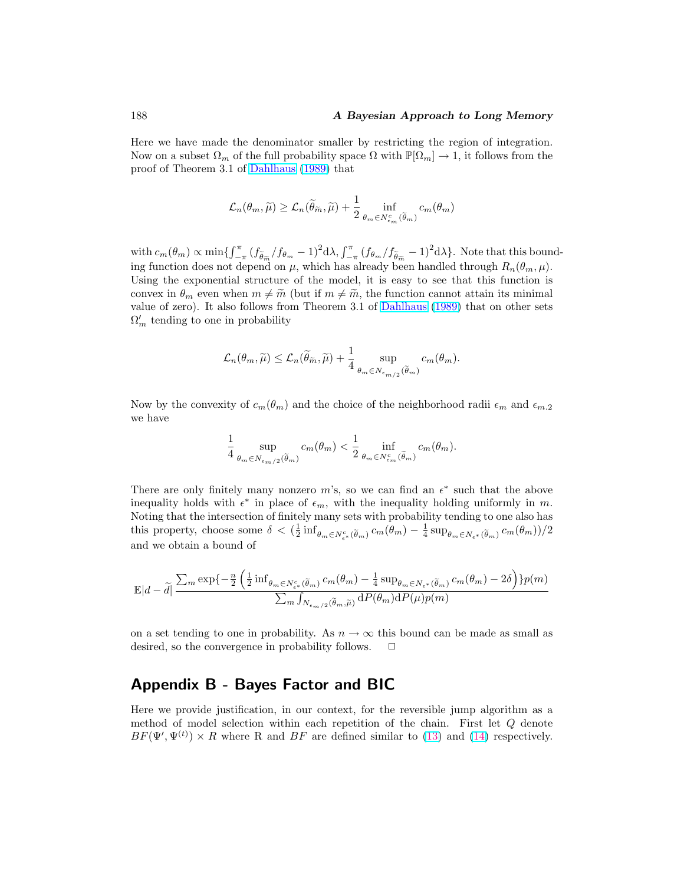## <span id="page-29-0"></span>188 **A Bayesian Approach to Long Memory**

Here we have made the denominator smaller by restricting the region of integration. Now on a subset  $\Omega_m$  of the full probability space  $\Omega$  with  $\mathbb{P}[\Omega_m] \to 1$ , it follows from the proof of Theorem 3.1 of [Dahlhaus](#page-24-0) [\(1989\)](#page-24-0) that

$$
\mathcal{L}_n(\theta_m, \widetilde{\mu}) \ge \mathcal{L}_n(\widetilde{\theta}_{\widetilde{m}}, \widetilde{\mu}) + \frac{1}{2} \inf_{\theta_m \in N_{\epsilon_m}^c(\widetilde{\theta}_m)} c_m(\theta_m)
$$

with  $c_m(\theta_m) \propto \min\{\int_{-}^{\pi}$  $-\frac{\pi}{4} (f_{\widetilde{\theta}_{\widetilde{m}}}/f_{\theta_{m}}-1)^{2} d\lambda, \int_{-\pi}^{\pi} (f_{\theta_{m}}/f_{\widetilde{\theta}_{\widetilde{m}}}-1)^{2} d\lambda\}.$  Note that this bounding function does not depend on  $\mu$ , which has already been handled through  $R_n(\theta_m, \mu)$ . Using the exponential structure of the model, it is easy to see that this function is convex in  $\theta_m$  even when  $m \neq \tilde{m}$  (but if  $m \neq \tilde{m}$ , the function cannot attain its minimal value of zero). It also follows from Theorem 3.1 of [Dahlhaus](#page-24-0) [\(1989\)](#page-24-0) that on other sets  $\Omega'_m$  tending to one in probability

$$
\mathcal{L}_n(\theta_m, \widetilde{\mu}) \leq \mathcal{L}_n(\widetilde{\theta}_{\widetilde{m}}, \widetilde{\mu}) + \frac{1}{4} \sup_{\theta_m \in N_{\epsilon_m/2}(\widetilde{\theta}_m)} c_m(\theta_m).
$$

Now by the convexity of  $c_m(\theta_m)$  and the choice of the neighborhood radii  $\epsilon_m$  and  $\epsilon_{m,2}$ we have

$$
\frac{1}{4}\sup_{\theta_m\in N_{\epsilon_m/2}(\tilde{\theta}_m)}c_m(\theta_m)<\frac{1}{2}\inf_{\theta_m\in N_{\epsilon_m}^c(\tilde{\theta}_m)}c_m(\theta_m).
$$

There are only finitely many nonzero m's, so we can find an  $\epsilon^*$  such that the above inequality holds with  $\epsilon^*$  in place of  $\epsilon_m$ , with the inequality holding uniformly in m. Noting that the intersection of finitely many sets with probability tending to one also has this property, choose some  $\delta < (\frac{1}{2} \inf_{\theta_m \in N_{\epsilon^*}^c(\tilde{\theta}_m)} c_m(\theta_m) - \frac{1}{4} \sup_{\theta_m \in N_{\epsilon^*}(\tilde{\theta}_m)} c_m(\theta_m)) / 2$ and we obtain a bound of

$$
\mathbb{E}|d - \tilde{d}| \frac{\sum_{m} \exp\{-\frac{n}{2} \left(\frac{1}{2} \inf_{\theta_{m} \in N_{\epsilon^*}^c(\tilde{\theta}_{m})} c_m(\theta_{m}) - \frac{1}{4} \sup_{\theta_{m} \in N_{\epsilon^*}(\tilde{\theta}_{m})} c_m(\theta_{m}) - 2\delta\right)\} p(m)}{\sum_{m} \int_{N_{\epsilon_{m}/2}(\tilde{\theta}_{m}, \tilde{\mu})} dP(\theta_{m}) dP(\mu) p(m)}
$$

on a set tending to one in probability. As  $n \to \infty$  this bound can be made as small as desired, so the convergence in probability follows.  $\Box$ 

# Appendix B - Bayes Factor and BIC

Here we provide justification, in our context, for the reversible jump algorithm as a method of model selection within each repetition of the chain. First let Q denote  $BF(\Psi', \Psi^{(t)}) \times R$  where R and BF are defined similar to [\(13\)](#page-11-0) and [\(14\)](#page-11-0) respectively.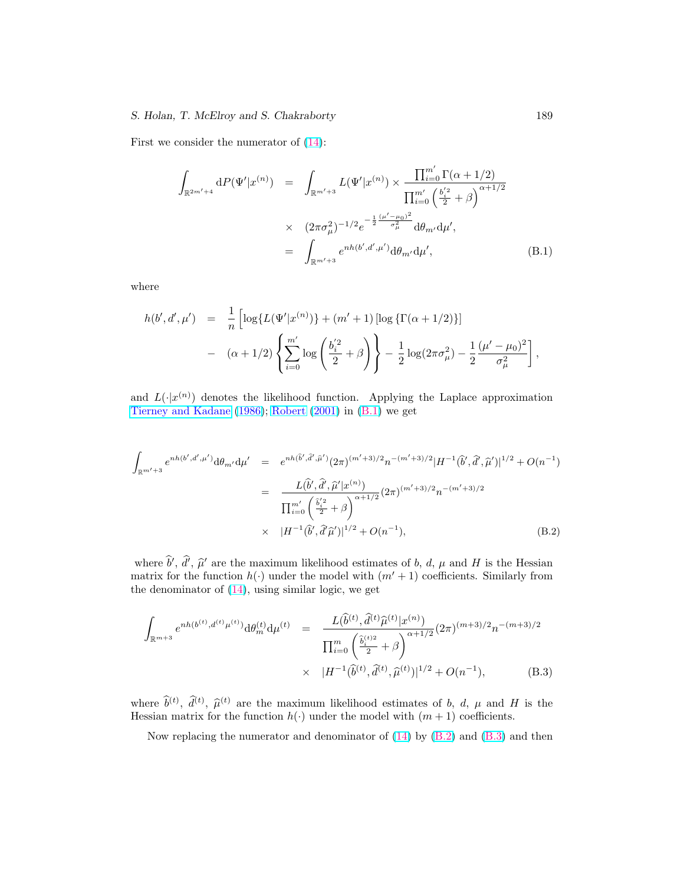## <span id="page-30-0"></span>S. Holan, T. McElroy and S. Chakraborty 189

First we consider the numerator of [\(14\)](#page-11-0):

$$
\int_{\mathbb{R}^{2m'+4}} dP(\Psi'|x^{(n)}) = \int_{\mathbb{R}^{m'+3}} L(\Psi'|x^{(n)}) \times \frac{\prod_{i=0}^{m'} \Gamma(\alpha+1/2)}{\prod_{i=0}^{m'} \left(\frac{b_i'^2}{2} + \beta\right)^{\alpha+1/2}} \times (2\pi\sigma_\mu^2)^{-1/2} e^{-\frac{1}{2}\frac{(\mu'-\mu_0)^2}{\sigma_\mu^2}} d\theta_{m'} d\mu',
$$
\n
$$
= \int_{\mathbb{R}^{m'+3}} e^{nh(b',d',\mu')} d\theta_{m'} d\mu', \tag{B.1}
$$

where

$$
h(b', d', \mu') = \frac{1}{n} \left[ \log \{ L(\Psi'|x^{(n)}) \} + (m' + 1) \left[ \log \{ \Gamma(\alpha + 1/2) \} \right] - (\alpha + 1/2) \left\{ \sum_{i=0}^{m'} \log \left( \frac{b_i'^2}{2} + \beta \right) \right\} - \frac{1}{2} \log(2\pi\sigma_\mu^2) - \frac{1}{2} \frac{(\mu' - \mu_0)^2}{\sigma_\mu^2} \right],
$$

and  $L(\cdot|x^{(n)})$  denotes the likelihood function. Applying the Laplace approximation [Tierney and Kadane](#page-27-0) [\(1986\)](#page-27-0); [Robert](#page-26-0) [\(2001\)](#page-26-0) in (B.1) we get

$$
\int_{\mathbb{R}^{m'+3}} e^{nh(b',d',\mu')} d\theta_{m'} d\mu' = e^{nh(\hat{b}',\hat{d}',\hat{\mu}')} (2\pi)^{(m'+3)/2} n^{-(m'+3)/2} |H^{-1}(\hat{b}',\hat{d}',\hat{\mu}')|^{1/2} + O(n^{-1})
$$
\n
$$
= \frac{L(\hat{b}',\hat{d}',\hat{\mu}'|x^{(n)})}{\prod_{i=0}^{m'} \left(\frac{\hat{b}'^2_i}{2} + \beta\right)^{\alpha+1/2}} (2\pi)^{(m'+3)/2} n^{-(m'+3)/2}
$$
\n
$$
\times |H^{-1}(\hat{b}',\hat{d}'\hat{\mu}')|^{1/2} + O(n^{-1}), \tag{B.2}
$$

where  $\hat{b}', \hat{d}', \hat{\mu}'$  are the maximum likelihood estimates of b, d,  $\mu$  and H is the Hessian matrix for the function  $h(\cdot)$  under the model with  $(m' + 1)$  coefficients. Similarly from the denominator of  $(14)$ , using similar logic, we get

$$
\int_{\mathbb{R}^{m+3}} e^{nh(b^{(t)}, d^{(t)}\mu^{(t)})} d\theta_m^{(t)} d\mu^{(t)} = \frac{L(\hat{b}^{(t)}, \hat{d}^{(t)}\hat{\mu}^{(t)}|x^{(n)})}{\prod_{i=0}^m \left(\frac{\hat{b}_i^{(t)}(i)}{2} + \beta\right)^{\alpha+1/2}} (2\pi)^{(m+3)/2} n^{-(m+3)/2}
$$
\n
$$
\times |H^{-1}(\hat{b}^{(t)}, \hat{d}^{(t)}, \hat{\mu}^{(t)})|^{1/2} + O(n^{-1}), \tag{B.3}
$$

where  $\hat{b}^{(t)}$ ,  $\hat{d}^{(t)}$ ,  $\hat{\mu}^{(t)}$  are the maximum likelihood estimates of b, d,  $\mu$  and H is the Hessian matrix for the function  $h(\cdot)$  under the model with  $(m + 1)$  coefficients.

Now replacing the numerator and denominator of  $(14)$  by  $(B.2)$  and  $(B.3)$  and then